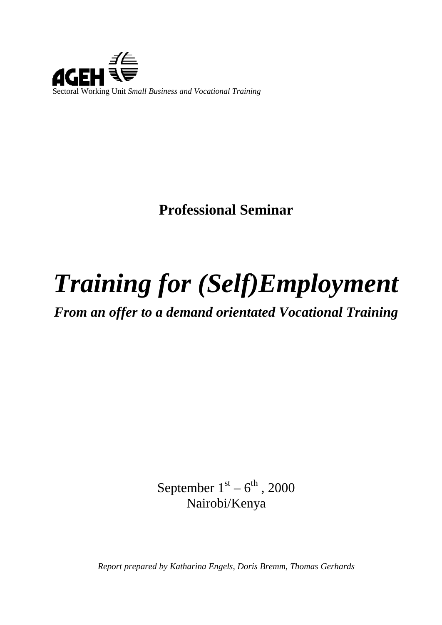

**Professional Seminar**

# *Training for (Self)Employment*

*From an offer to a demand orientated Vocational Training*

September  $1<sup>st</sup> - 6<sup>th</sup>$ , 2000 Nairobi/Kenya

*Report prepared by Katharina Engels, Doris Bremm, Thomas Gerhards*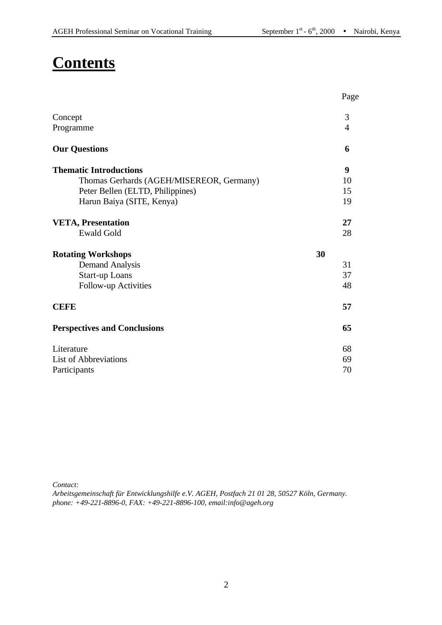# **Contents**

|                                          | Page           |
|------------------------------------------|----------------|
| Concept                                  | 3              |
| Programme                                | $\overline{4}$ |
| <b>Our Questions</b>                     | 6              |
| <b>Thematic Introductions</b>            | 9              |
| Thomas Gerhards (AGEH/MISEREOR, Germany) | 10             |
| Peter Bellen (ELTD, Philippines)         | 15             |
| Harun Baiya (SITE, Kenya)                | 19             |
| <b>VETA, Presentation</b>                | 27             |
| <b>Ewald Gold</b>                        | 28             |
| <b>Rotating Workshops</b>                | 30             |
| <b>Demand Analysis</b>                   | 31             |
| <b>Start-up Loans</b>                    | 37             |
| Follow-up Activities                     | 48             |
| <b>CEFE</b>                              | 57             |
| <b>Perspectives and Conclusions</b>      | 65             |
| Literature                               | 68             |
| <b>List of Abbreviations</b>             | 69             |
| Participants                             | 70             |

*Contact:*

*Arbeitsgemeinschaft für Entwicklungshilfe e.V. AGEH, Postfach 21 01 28, 50527 Köln, Germany. phone: +49-221-8896-0, FAX: +49-221-8896-100, email:info@ageh.org*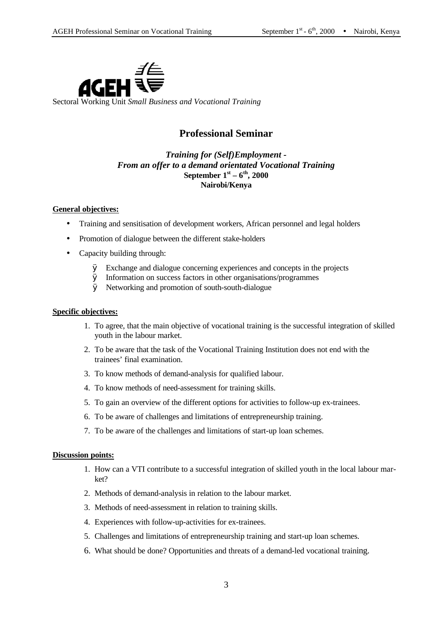

Sectoral Working Unit *Small Business and Vocational Training*

#### **Professional Seminar**

#### *Training for (Self)Employment - From an offer to a demand orientated Vocational Training* **September 1st – 6th, 2000 Nairobi/Kenya**

#### **General objectives:**

- Training and sensitisation of development workers, African personnel and legal holders
- Promotion of dialogue between the different stake-holders
- Capacity building through:
	- Ø Exchange and dialogue concerning experiences and concepts in the projects
	- Ø Information on success factors in other organisations/programmes
	- Ø Networking and promotion of south-south-dialogue

#### **Specific objectives:**

- 1. To agree, that the main objective of vocational training is the successful integration of skilled youth in the labour market.
- 2. To be aware that the task of the Vocational Training Institution does not end with the trainees' final examination.
- 3. To know methods of demand-analysis for qualified labour.
- 4. To know methods of need-assessment for training skills.
- 5. To gain an overview of the different options for activities to follow-up ex-trainees.
- 6. To be aware of challenges and limitations of entrepreneurship training.
- 7. To be aware of the challenges and limitations of start-up loan schemes.

#### **Discussion points:**

- 1. How can a VTI contribute to a successful integration of skilled youth in the local labour market?
- 2. Methods of demand-analysis in relation to the labour market.
- 3. Methods of need-assessment in relation to training skills.
- 4. Experiences with follow-up-activities for ex-trainees.
- 5. Challenges and limitations of entrepreneurship training and start-up loan schemes.
- 6. What should be done? Opportunities and threats of a demand-led vocational training.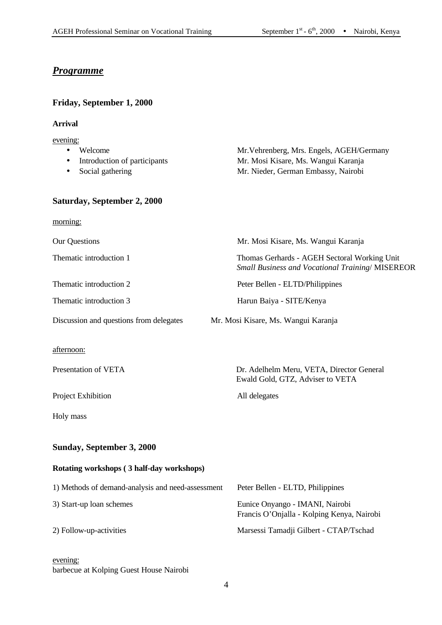#### *Programme*

**Friday, September 1, 2000**

| <b>Arrival</b>                                                          |                                                                                                                         |
|-------------------------------------------------------------------------|-------------------------------------------------------------------------------------------------------------------------|
| evening:<br>Welcome<br>Introduction of participants<br>Social gathering | Mr. Vehrenberg, Mrs. Engels, AGEH/Germany<br>Mr. Mosi Kisare, Ms. Wangui Karanja<br>Mr. Nieder, German Embassy, Nairobi |
| Saturday, September 2, 2000                                             |                                                                                                                         |
| <u>morning:</u>                                                         |                                                                                                                         |
| <b>Our Questions</b>                                                    | Mr. Mosi Kisare, Ms. Wangui Karanja                                                                                     |
| Thematic introduction 1                                                 | Thomas Gerhards - AGEH Sectoral Working Unit<br><b>Small Business and Vocational Training/MISEREOR</b>                  |
| Thematic introduction 2                                                 | Peter Bellen - ELTD/Philippines                                                                                         |
| Thematic introduction 3                                                 | Harun Baiya - SITE/Kenya                                                                                                |
| Discussion and questions from delegates                                 | Mr. Mosi Kisare, Ms. Wangui Karanja                                                                                     |
| afternoon:                                                              |                                                                                                                         |
| Presentation of VETA                                                    | Dr. Adelhelm Meru, VETA, Director General<br>Ewald Gold, GTZ, Adviser to VETA                                           |
| Project Exhibition                                                      | All delegates                                                                                                           |
| Holy mass                                                               |                                                                                                                         |
| <b>Sunday, September 3, 2000</b>                                        |                                                                                                                         |
| Rotating workshops (3 half-day workshops)                               |                                                                                                                         |
| 1) Methods of demand-analysis and need-assessment                       | Peter Bellen - ELTD, Philippines                                                                                        |
| 3) Start-up loan schemes                                                | Eunice Onyango - IMANI, Nairobi<br>Francis O'Onjalla - Kolping Kenya, Nairobi                                           |
| 2) Follow-up-activities                                                 | Marsessi Tamadji Gilbert - CTAP/Tschad                                                                                  |
| evening:<br>barbecue at Kolping Guest House Nairobi                     |                                                                                                                         |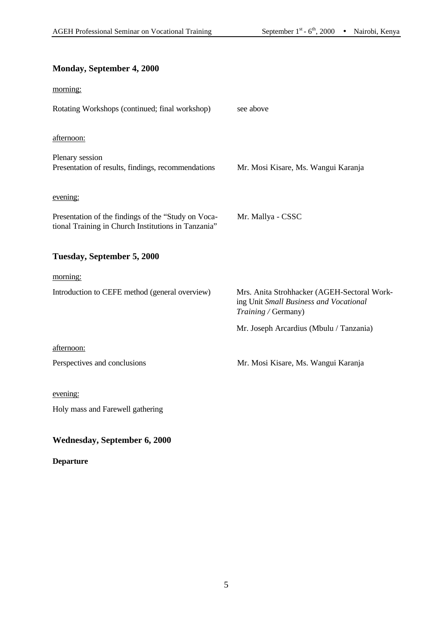#### **Monday, September 4, 2000**

| morning:                                                                                                   |                                                                                                              |
|------------------------------------------------------------------------------------------------------------|--------------------------------------------------------------------------------------------------------------|
| Rotating Workshops (continued; final workshop)                                                             | see above                                                                                                    |
| afternoon:                                                                                                 |                                                                                                              |
| Plenary session<br>Presentation of results, findings, recommendations                                      | Mr. Mosi Kisare, Ms. Wangui Karanja                                                                          |
| evening:                                                                                                   |                                                                                                              |
| Presentation of the findings of the "Study on Voca-<br>tional Training in Church Institutions in Tanzania" | Mr. Mallya - CSSC                                                                                            |
| Tuesday, September 5, 2000                                                                                 |                                                                                                              |
| morning:                                                                                                   |                                                                                                              |
| Introduction to CEFE method (general overview)                                                             | Mrs. Anita Strohhacker (AGEH-Sectoral Work-<br>ing Unit Small Business and Vocational<br>Training / Germany) |
|                                                                                                            | Mr. Joseph Arcardius (Mbulu / Tanzania)                                                                      |
| afternoon:                                                                                                 |                                                                                                              |
| Perspectives and conclusions                                                                               | Mr. Mosi Kisare, Ms. Wangui Karanja                                                                          |
| evening:                                                                                                   |                                                                                                              |
| Holy mass and Farewell gathering                                                                           |                                                                                                              |

#### **Wednesday, September 6, 2000**

**Departure**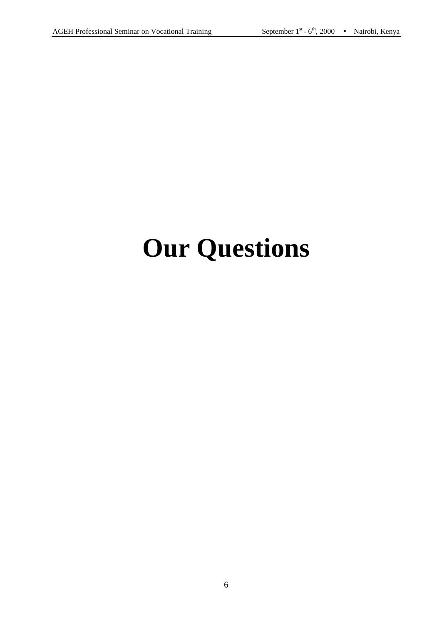# **Our Questions**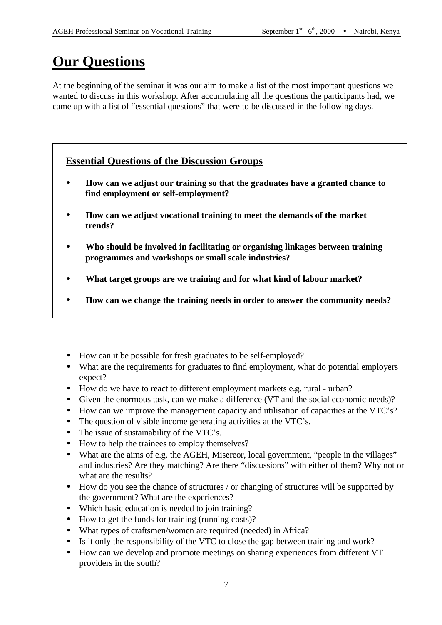# **Our Questions**

At the beginning of the seminar it was our aim to make a list of the most important questions we wanted to discuss in this workshop. After accumulating all the questions the participants had, we came up with a list of "essential questions" that were to be discussed in the following days.

#### **Essential Questions of the Discussion Groups**

- **· How can we adjust our training so that the graduates have a granted chance to find employment or self-employment?**
- **· How can we adjust vocational training to meet the demands of the market trends?**
- **· Who should be involved in facilitating or organising linkages between training programmes and workshops or small scale industries?**
- **· What target groups are we training and for what kind of labour market?**
- **· How can we change the training needs in order to answer the community needs?**
- How can it be possible for fresh graduates to be self-employed?
- What are the requirements for graduates to find employment, what do potential employers expect?
- How do we have to react to different employment markets e.g. rural urban?
- Given the enormous task, can we make a difference (VT and the social economic needs)?
- How can we improve the management capacity and utilisation of capacities at the VTC's?
- The question of visible income generating activities at the VTC's.
- The issue of sustainability of the VTC's.
- How to help the trainees to employ themselves?
- What are the aims of e.g. the AGEH, Misereor, local government, "people in the villages" and industries? Are they matching? Are there "discussions" with either of them? Why not or what are the results?
- How do you see the chance of structures / or changing of structures will be supported by the government? What are the experiences?
- Which basic education is needed to join training?
- How to get the funds for training (running costs)?
- What types of craftsmen/women are required (needed) in Africa?
- Is it only the responsibility of the VTC to close the gap between training and work?
- How can we develop and promote meetings on sharing experiences from different VT providers in the south?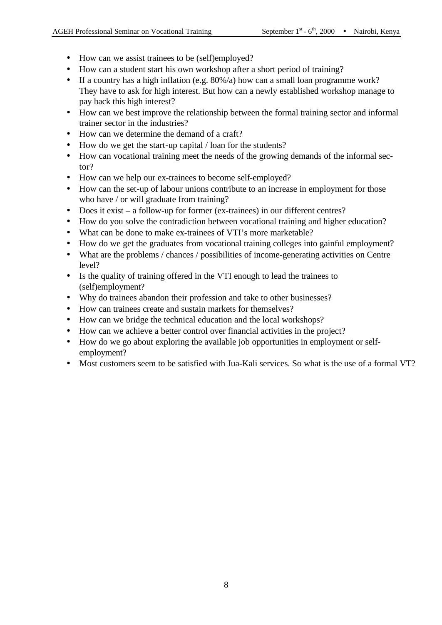- How can we assist trainees to be (self)employed?
- How can a student start his own workshop after a short period of training?
- If a country has a high inflation (e.g. 80%/a) how can a small loan programme work? They have to ask for high interest. But how can a newly established workshop manage to pay back this high interest?
- How can we best improve the relationship between the formal training sector and informal trainer sector in the industries?
- How can we determine the demand of a craft?
- How do we get the start-up capital / loan for the students?
- How can vocational training meet the needs of the growing demands of the informal sector?
- How can we help our ex-trainees to become self-employed?
- How can the set-up of labour unions contribute to an increase in employment for those who have / or will graduate from training?
- Does it exist a follow-up for former (ex-trainees) in our different centres?
- How do you solve the contradiction between vocational training and higher education?
- What can be done to make ex-trainees of VTI's more marketable?
- How do we get the graduates from vocational training colleges into gainful employment?
- What are the problems / chances / possibilities of income-generating activities on Centre level?
- Is the quality of training offered in the VTI enough to lead the trainees to (self)employment?
- Why do trainees abandon their profession and take to other businesses?
- How can trainees create and sustain markets for themselves?
- How can we bridge the technical education and the local workshops?
- How can we achieve a better control over financial activities in the project?
- How do we go about exploring the available job opportunities in employment or selfemployment?
- Most customers seem to be satisfied with Jua-Kali services. So what is the use of a formal VT?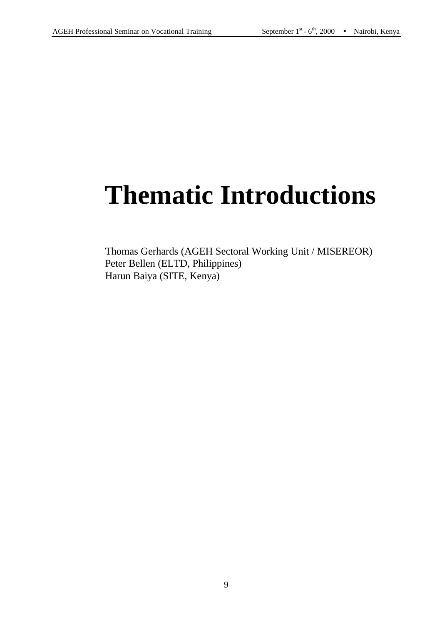# **Thematic Introductions**

Thomas Gerhards (AGEH Sectoral Working Unit / MISEREOR) Peter Bellen (ELTD, Philippines) Harun Baiya (SITE, Kenya)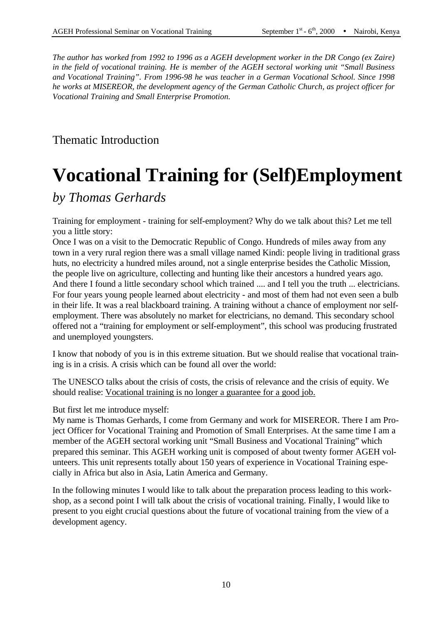*The author has worked from 1992 to 1996 as a AGEH development worker in the DR Congo (ex Zaire) in the field of vocational training. He is member of the AGEH sectoral working unit "Small Business and Vocational Training". From 1996-98 he was teacher in a German Vocational School. Since 1998 he works at MISEREOR, the development agency of the German Catholic Church, as project officer for Vocational Training and Small Enterprise Promotion.*

Thematic Introduction

# **Vocational Training for (Self)Employment**

# *by Thomas Gerhards*

Training for employment - training for self-employment? Why do we talk about this? Let me tell you a little story:

Once I was on a visit to the Democratic Republic of Congo. Hundreds of miles away from any town in a very rural region there was a small village named Kindi: people living in traditional grass huts, no electricity a hundred miles around, not a single enterprise besides the Catholic Mission, the people live on agriculture, collecting and hunting like their ancestors a hundred years ago. And there I found a little secondary school which trained .... and I tell you the truth ... electricians. For four years young people learned about electricity - and most of them had not even seen a bulb in their life. It was a real blackboard training. A training without a chance of employment nor selfemployment. There was absolutely no market for electricians, no demand. This secondary school offered not a "training for employment or self-employment", this school was producing frustrated and unemployed youngsters.

I know that nobody of you is in this extreme situation. But we should realise that vocational training is in a crisis. A crisis which can be found all over the world:

The UNESCO talks about the crisis of costs, the crisis of relevance and the crisis of equity. We should realise: Vocational training is no longer a guarantee for a good job.

But first let me introduce myself:

My name is Thomas Gerhards, I come from Germany and work for MISEREOR. There I am Project Officer for Vocational Training and Promotion of Small Enterprises. At the same time I am a member of the AGEH sectoral working unit "Small Business and Vocational Training" which prepared this seminar. This AGEH working unit is composed of about twenty former AGEH volunteers. This unit represents totally about 150 years of experience in Vocational Training especially in Africa but also in Asia, Latin America and Germany.

In the following minutes I would like to talk about the preparation process leading to this workshop, as a second point I will talk about the crisis of vocational training. Finally, I would like to present to you eight crucial questions about the future of vocational training from the view of a development agency.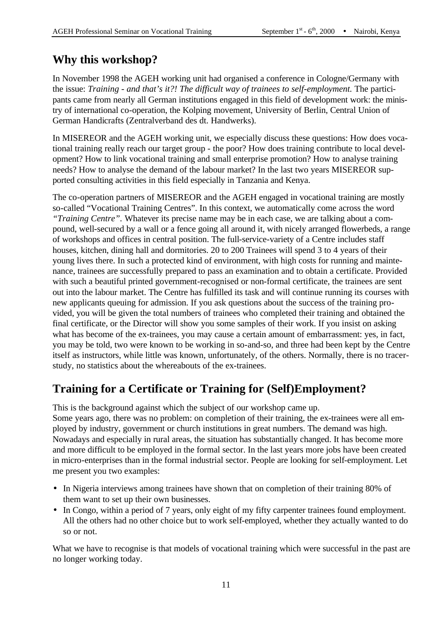# **Why this workshop?**

In November 1998 the AGEH working unit had organised a conference in Cologne/Germany with the issue: *Training - and that's it?! The difficult way of trainees to self-employment.* The participants came from nearly all German institutions engaged in this field of development work: the ministry of international co-operation, the Kolping movement, University of Berlin, Central Union of German Handicrafts (Zentralverband des dt. Handwerks).

In MISEREOR and the AGEH working unit, we especially discuss these questions: How does vocational training really reach our target group - the poor? How does training contribute to local development? How to link vocational training and small enterprise promotion? How to analyse training needs? How to analyse the demand of the labour market? In the last two years MISEREOR supported consulting activities in this field especially in Tanzania and Kenya.

The co-operation partners of MISEREOR and the AGEH engaged in vocational training are mostly so-called "Vocational Training Centres". In this context, we automatically come across the word *"Training Centre".* Whatever its precise name may be in each case, we are talking about a compound, well-secured by a wall or a fence going all around it, with nicely arranged flowerbeds, a range of workshops and offices in central position. The full-service-variety of a Centre includes staff houses, kitchen, dining hall and dormitories. 20 to 200 Trainees will spend 3 to 4 years of their young lives there. In such a protected kind of environment, with high costs for running and maintenance, trainees are successfully prepared to pass an examination and to obtain a certificate. Provided with such a beautiful printed government-recognised or non-formal certificate, the trainees are sent out into the labour market. The Centre has fulfilled its task and will continue running its courses with new applicants queuing for admission. If you ask questions about the success of the training provided, you will be given the total numbers of trainees who completed their training and obtained the final certificate, or the Director will show you some samples of their work. If you insist on asking what has become of the ex-trainees, you may cause a certain amount of embarrassment: yes, in fact, you may be told, two were known to be working in so-and-so, and three had been kept by the Centre itself as instructors, while little was known, unfortunately, of the others. Normally, there is no tracerstudy, no statistics about the whereabouts of the ex-trainees.

# **Training for a Certificate or Training for (Self)Employment?**

This is the background against which the subject of our workshop came up. Some years ago, there was no problem: on completion of their training, the ex-trainees were all employed by industry, government or church institutions in great numbers. The demand was high. Nowadays and especially in rural areas, the situation has substantially changed. It has become more and more difficult to be employed in the formal sector. In the last years more jobs have been created in micro-enterprises than in the formal industrial sector. People are looking for self-employment. Let me present you two examples:

- In Nigeria interviews among trainees have shown that on completion of their training 80% of them want to set up their own businesses.
- In Congo, within a period of 7 years, only eight of my fifty carpenter trainees found employment. All the others had no other choice but to work self-employed, whether they actually wanted to do so or not.

What we have to recognise is that models of vocational training which were successful in the past are no longer working today.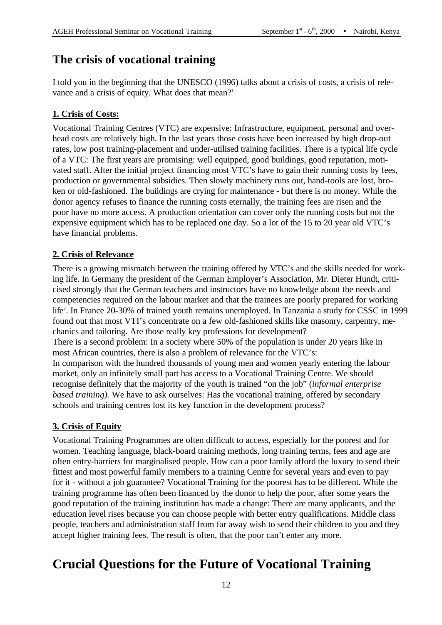# **The crisis of vocational training**

I told you in the beginning that the UNESCO (1996) talks about a crisis of costs, a crisis of relevance and a crisis of equity. What does that mean?<sup>1</sup>

#### **1. Crisis of Costs:**

Vocational Training Centres (VTC) are expensive: Infrastructure, equipment, personal and overhead costs are relatively high. In the last years those costs have been increased by high drop-out rates, low post training-placement and under-utilised training facilities. There is a typical life cycle of a VTC: The first years are promising: well equipped, good buildings, good reputation, motivated staff. After the initial project financing most VTC's have to gain their running costs by fees, production or governmental subsidies. Then slowly machinery runs out, hand-tools are lost, broken or old-fashioned. The buildings are crying for maintenance - but there is no money. While the donor agency refuses to finance the running costs eternally, the training fees are risen and the poor have no more access. A production orientation can cover only the running costs but not the expensive equipment which has to be replaced one day. So a lot of the 15 to 20 year old VTC's have financial problems.

#### **2. Crisis of Relevance**

There is a growing mismatch between the training offered by VTC's and the skills needed for working life. In Germany the president of the German Employer's Association, Mr. Dieter Hundt, criticised strongly that the German teachers and instructors have no knowledge about the needs and competencies required on the labour market and that the trainees are poorly prepared for working life<sup>2</sup>. In France 20-30% of trained youth remains unemployed. In Tanzania a study for CSSC in 1999 found out that most VTI's concentrate on a few old-fashioned skills like masonry, carpentry, mechanics and tailoring. Are those really key professions for development? There is a second problem: In a society where 50% of the population is under 20 years like in most African countries, there is also a problem of relevance for the VTC's: In comparison with the hundred thousands of young men and women yearly entering the labour market, only an infinitely small part has access to a Vocational Training Centre. We should recognise definitely that the majority of the youth is trained "on the job" (*informal enterprise based training).* We have to ask ourselves: Has the vocational training, offered by secondary schools and training centres lost its key function in the development process?

#### **3. Crisis of Equity**

Vocational Training Programmes are often difficult to access, especially for the poorest and for women. Teaching language, black-board training methods, long training terms, fees and age are often entry-barriers for marginalised people. How can a poor family afford the luxury to send their fittest and most powerful family members to a training Centre for several years and even to pay for it - without a job guarantee? Vocational Training for the poorest has to be different. While the training programme has often been financed by the donor to help the poor, after some years the good reputation of the training institution has made a change: There are many applicants, and the education level rises because you can choose people with better entry qualifications. Middle class people, teachers and administration staff from far away wish to send their children to you and they accept higher training fees. The result is often, that the poor can't enter any more.

# **Crucial Questions for the Future of Vocational Training**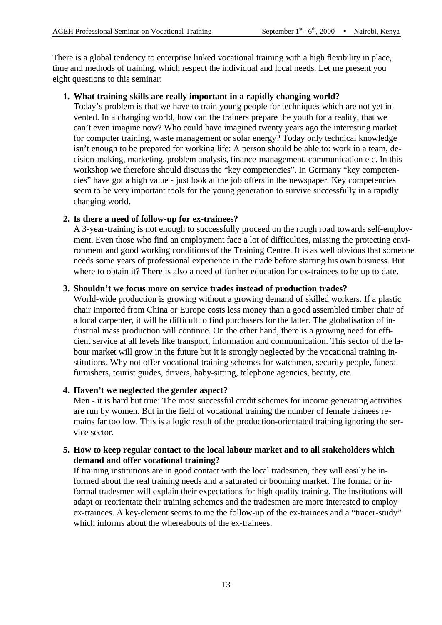There is a global tendency to enterprise linked vocational training with a high flexibility in place, time and methods of training, which respect the individual and local needs. Let me present you eight questions to this seminar:

#### **1. What training skills are really important in a rapidly changing world?**

Today's problem is that we have to train young people for techniques which are not yet invented. In a changing world, how can the trainers prepare the youth for a reality, that we can't even imagine now? Who could have imagined twenty years ago the interesting market for computer training, waste management or solar energy? Today only technical knowledge isn't enough to be prepared for working life: A person should be able to: work in a team, decision-making, marketing, problem analysis, finance-management, communication etc. In this workshop we therefore should discuss the "key competencies". In Germany "key competencies" have got a high value - just look at the job offers in the newspaper. Key competencies seem to be very important tools for the young generation to survive successfully in a rapidly changing world.

#### **2. Is there a need of follow-up for ex-trainees?**

A 3-year-training is not enough to successfully proceed on the rough road towards self-employment. Even those who find an employment face a lot of difficulties, missing the protecting environment and good working conditions of the Training Centre. It is as well obvious that someone needs some years of professional experience in the trade before starting his own business. But where to obtain it? There is also a need of further education for ex-trainees to be up to date.

#### **3. Shouldn't we focus more on service trades instead of production trades?**

World-wide production is growing without a growing demand of skilled workers. If a plastic chair imported from China or Europe costs less money than a good assembled timber chair of a local carpenter, it will be difficult to find purchasers for the latter. The globalisation of industrial mass production will continue. On the other hand, there is a growing need for efficient service at all levels like transport, information and communication. This sector of the labour market will grow in the future but it is strongly neglected by the vocational training institutions. Why not offer vocational training schemes for watchmen, security people, funeral furnishers, tourist guides, drivers, baby-sitting, telephone agencies, beauty, etc.

#### **4. Haven't we neglected the gender aspect?**

Men - it is hard but true: The most successful credit schemes for income generating activities are run by women. But in the field of vocational training the number of female trainees remains far too low. This is a logic result of the production-orientated training ignoring the service sector.

#### **5. How to keep regular contact to the local labour market and to all stakeholders which demand and offer vocational training?**

If training institutions are in good contact with the local tradesmen, they will easily be informed about the real training needs and a saturated or booming market. The formal or informal tradesmen will explain their expectations for high quality training. The institutions will adapt or reorientate their training schemes and the tradesmen are more interested to employ ex-trainees. A key-element seems to me the follow-up of the ex-trainees and a "tracer-study" which informs about the whereabouts of the ex-trainees.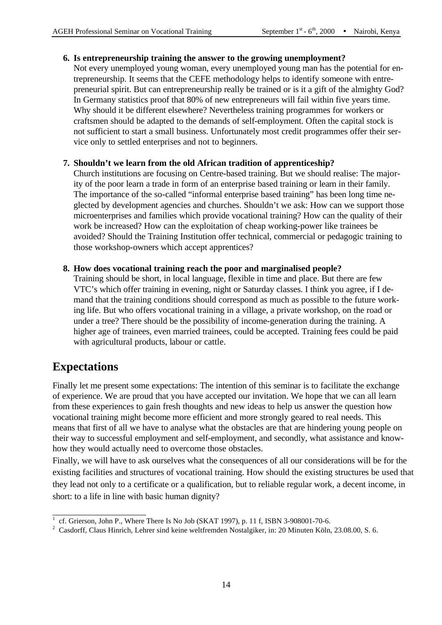#### **6. Is entrepreneurship training the answer to the growing unemployment?**

Not every unemployed young woman, every unemployed young man has the potential for entrepreneurship. It seems that the CEFE methodology helps to identify someone with entrepreneurial spirit. But can entrepreneurship really be trained or is it a gift of the almighty God? In Germany statistics proof that 80% of new entrepreneurs will fail within five years time. Why should it be different elsewhere? Nevertheless training programmes for workers or craftsmen should be adapted to the demands of self-employment. Often the capital stock is not sufficient to start a small business. Unfortunately most credit programmes offer their service only to settled enterprises and not to beginners.

#### **7. Shouldn't we learn from the old African tradition of apprenticeship?**

Church institutions are focusing on Centre-based training. But we should realise: The majority of the poor learn a trade in form of an enterprise based training or learn in their family. The importance of the so-called "informal enterprise based training" has been long time neglected by development agencies and churches. Shouldn't we ask: How can we support those microenterprises and families which provide vocational training? How can the quality of their work be increased? How can the exploitation of cheap working-power like trainees be avoided? Should the Training Institution offer technical, commercial or pedagogic training to those workshop-owners which accept apprentices?

#### **8. How does vocational training reach the poor and marginalised people?**

Training should be short, in local language, flexible in time and place. But there are few VTC's which offer training in evening, night or Saturday classes. I think you agree, if I demand that the training conditions should correspond as much as possible to the future working life. But who offers vocational training in a village, a private workshop, on the road or under a tree? There should be the possibility of income-generation during the training. A higher age of trainees, even married trainees, could be accepted. Training fees could be paid with agricultural products, labour or cattle.

# **Expectations**

Finally let me present some expectations: The intention of this seminar is to facilitate the exchange of experience. We are proud that you have accepted our invitation. We hope that we can all learn from these experiences to gain fresh thoughts and new ideas to help us answer the question how vocational training might become more efficient and more strongly geared to real needs. This means that first of all we have to analyse what the obstacles are that are hindering young people on their way to successful employment and self-employment, and secondly, what assistance and knowhow they would actually need to overcome those obstacles.

Finally, we will have to ask ourselves what the consequences of all our considerations will be for the existing facilities and structures of vocational training. How should the existing structures be used that they lead not only to a certificate or a qualification, but to reliable regular work, a decent income, in short: to a life in line with basic human dignity?

<sup>1</sup> cf. Grierson, John P., Where There Is No Job (SKAT 1997), p. 11 f, ISBN 3-908001-70-6.

<sup>&</sup>lt;sup>2</sup> Casdorff, Claus Hinrich, Lehrer sind keine weltfremden Nostalgiker, in: 20 Minuten Köln, 23.08.00, S. 6.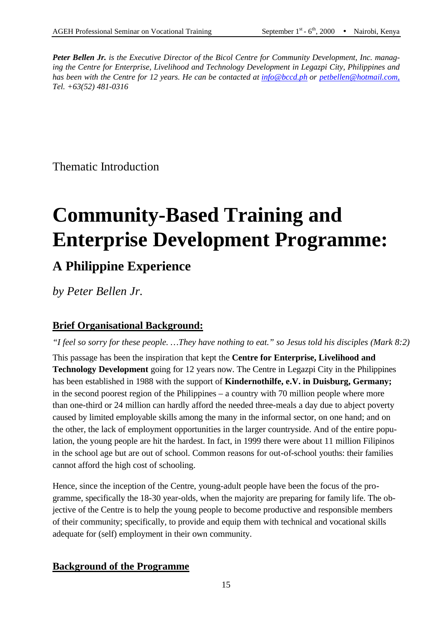*Peter Bellen Jr. is the Executive Director of the Bicol Centre for Community Development, Inc. managing the Centre for Enterprise, Livelihood and Technology Development in Legazpi City, Philippines and has been with the Centre for 12 years. He can be contacted at info@bccd.ph or petbellen@hotmail.com, Tel. +63(52) 481-0316*

Thematic Introduction

# **Community-Based Training and Enterprise Development Programme:**

# **A Philippine Experience**

*by Peter Bellen Jr.*

#### **Brief Organisational Background:**

*"I feel so sorry for these people. …They have nothing to eat." so Jesus told his disciples (Mark 8:2)*

This passage has been the inspiration that kept the **Centre for Enterprise, Livelihood and Technology Development** going for 12 years now. The Centre in Legazpi City in the Philippines has been established in 1988 with the support of **Kindernothilfe, e.V. in Duisburg, Germany;** in the second poorest region of the Philippines – a country with 70 million people where more than one-third or 24 million can hardly afford the needed three-meals a day due to abject poverty caused by limited employable skills among the many in the informal sector, on one hand; and on the other, the lack of employment opportunities in the larger countryside. And of the entire population, the young people are hit the hardest. In fact, in 1999 there were about 11 million Filipinos in the school age but are out of school. Common reasons for out-of-school youths: their families cannot afford the high cost of schooling.

Hence, since the inception of the Centre, young-adult people have been the focus of the programme, specifically the 18-30 year-olds, when the majority are preparing for family life. The objective of the Centre is to help the young people to become productive and responsible members of their community; specifically, to provide and equip them with technical and vocational skills adequate for (self) employment in their own community.

#### **Background of the Programme**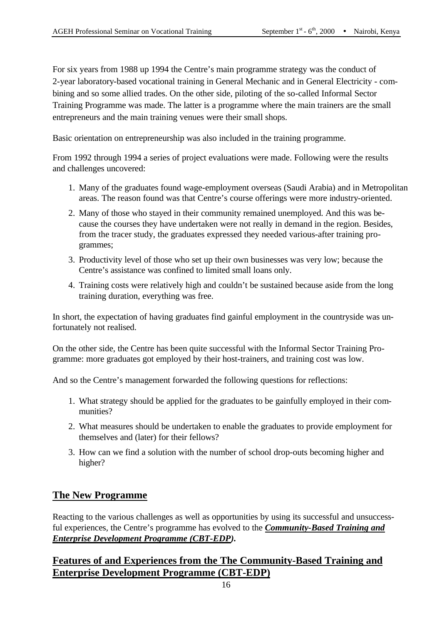For six years from 1988 up 1994 the Centre's main programme strategy was the conduct of 2-year laboratory-based vocational training in General Mechanic and in General Electricity - combining and so some allied trades. On the other side, piloting of the so-called Informal Sector Training Programme was made. The latter is a programme where the main trainers are the small entrepreneurs and the main training venues were their small shops.

Basic orientation on entrepreneurship was also included in the training programme.

From 1992 through 1994 a series of project evaluations were made. Following were the results and challenges uncovered:

- 1. Many of the graduates found wage-employment overseas (Saudi Arabia) and in Metropolitan areas. The reason found was that Centre's course offerings were more industry-oriented.
- 2. Many of those who stayed in their community remained unemployed. And this was because the courses they have undertaken were not really in demand in the region. Besides, from the tracer study, the graduates expressed they needed various-after training programmes;
- 3. Productivity level of those who set up their own businesses was very low; because the Centre's assistance was confined to limited small loans only.
- 4. Training costs were relatively high and couldn't be sustained because aside from the long training duration, everything was free.

In short, the expectation of having graduates find gainful employment in the countryside was unfortunately not realised.

On the other side, the Centre has been quite successful with the Informal Sector Training Programme: more graduates got employed by their host-trainers, and training cost was low.

And so the Centre's management forwarded the following questions for reflections:

- 1. What strategy should be applied for the graduates to be gainfully employed in their communities?
- 2. What measures should be undertaken to enable the graduates to provide employment for themselves and (later) for their fellows?
- 3. How can we find a solution with the number of school drop-outs becoming higher and higher?

#### **The New Programme**

Reacting to the various challenges as well as opportunities by using its successful and unsuccessful experiences, the Centre's programme has evolved to the *Community-Based Training and Enterprise Development Programme (CBT-EDP).*

#### **Features of and Experiences from the The Community-Based Training and Enterprise Development Programme (CBT-EDP)**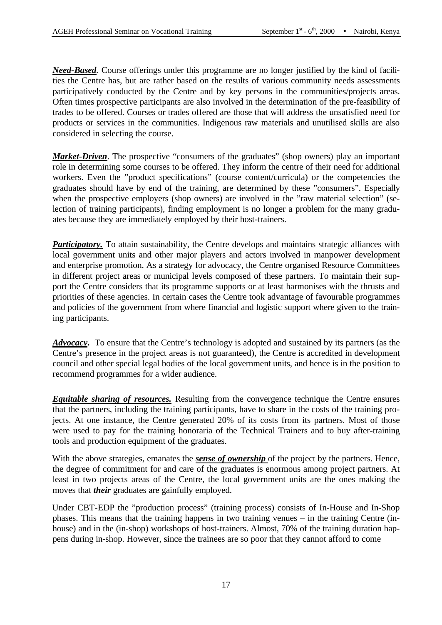*Need-Based.* Course offerings under this programme are no longer justified by the kind of facilities the Centre has, but are rather based on the results of various community needs assessments participatively conducted by the Centre and by key persons in the communities/projects areas. Often times prospective participants are also involved in the determination of the pre-feasibility of trades to be offered. Courses or trades offered are those that will address the unsatisfied need for products or services in the communities. Indigenous raw materials and unutilised skills are also considered in selecting the course.

*Market-Driven*. The prospective "consumers of the graduates" (shop owners) play an important role in determining some courses to be offered. They inform the centre of their need for additional workers. Even the "product specifications" (course content/curricula) or the competencies the graduates should have by end of the training, are determined by these "consumers". Especially when the prospective employers (shop owners) are involved in the "raw material selection" (selection of training participants), finding employment is no longer a problem for the many graduates because they are immediately employed by their host-trainers.

*Participatory*. To attain sustainability, the Centre develops and maintains strategic alliances with local government units and other major players and actors involved in manpower development and enterprise promotion. As a strategy for advocacy, the Centre organised Resource Committees in different project areas or municipal levels composed of these partners. To maintain their support the Centre considers that its programme supports or at least harmonises with the thrusts and priorities of these agencies. In certain cases the Centre took advantage of favourable programmes and policies of the government from where financial and logistic support where given to the training participants.

*Advocacy***.** To ensure that the Centre's technology is adopted and sustained by its partners (as the Centre's presence in the project areas is not guaranteed), the Centre is accredited in development council and other special legal bodies of the local government units, and hence is in the position to recommend programmes for a wider audience.

*Equitable sharing of resources.* Resulting from the convergence technique the Centre ensures that the partners, including the training participants, have to share in the costs of the training projects. At one instance, the Centre generated 20% of its costs from its partners. Most of those were used to pay for the training honoraria of the Technical Trainers and to buy after-training tools and production equipment of the graduates.

With the above strategies, emanates the *sense of ownership* of the project by the partners. Hence, the degree of commitment for and care of the graduates is enormous among project partners. At least in two projects areas of the Centre, the local government units are the ones making the moves that *their* graduates are gainfully employed.

Under CBT-EDP the "production process" (training process) consists of In-House and In-Shop phases. This means that the training happens in two training venues – in the training Centre (inhouse) and in the (in-shop) workshops of host-trainers. Almost, 70% of the training duration happens during in-shop. However, since the trainees are so poor that they cannot afford to come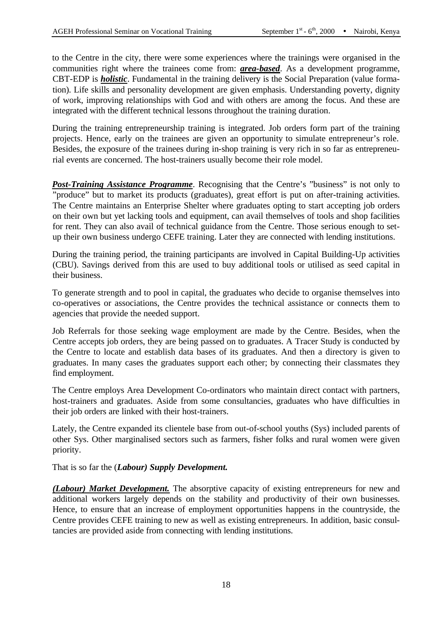to the Centre in the city, there were some experiences where the trainings were organised in the communities right where the trainees come from: *area-based*. As a development programme, CBT-EDP is *holistic*. Fundamental in the training delivery is the Social Preparation (value formation). Life skills and personality development are given emphasis. Understanding poverty, dignity of work, improving relationships with God and with others are among the focus. And these are integrated with the different technical lessons throughout the training duration.

During the training entrepreneurship training is integrated. Job orders form part of the training projects. Hence, early on the trainees are given an opportunity to simulate entrepreneur's role. Besides, the exposure of the trainees during in-shop training is very rich in so far as entrepreneurial events are concerned. The host-trainers usually become their role model.

*Post-Training Assistance Programme*. Recognising that the Centre's "business" is not only to "produce" but to market its products (graduates), great effort is put on after-training activities. The Centre maintains an Enterprise Shelter where graduates opting to start accepting job orders on their own but yet lacking tools and equipment, can avail themselves of tools and shop facilities for rent. They can also avail of technical guidance from the Centre. Those serious enough to setup their own business undergo CEFE training. Later they are connected with lending institutions.

During the training period, the training participants are involved in Capital Building-Up activities (CBU). Savings derived from this are used to buy additional tools or utilised as seed capital in their business.

To generate strength and to pool in capital, the graduates who decide to organise themselves into co-operatives or associations, the Centre provides the technical assistance or connects them to agencies that provide the needed support.

Job Referrals for those seeking wage employment are made by the Centre. Besides, when the Centre accepts job orders, they are being passed on to graduates. A Tracer Study is conducted by the Centre to locate and establish data bases of its graduates. And then a directory is given to graduates. In many cases the graduates support each other; by connecting their classmates they find employment.

The Centre employs Area Development Co-ordinators who maintain direct contact with partners, host-trainers and graduates. Aside from some consultancies, graduates who have difficulties in their job orders are linked with their host-trainers.

Lately, the Centre expanded its clientele base from out-of-school youths (Sys) included parents of other Sys. Other marginalised sectors such as farmers, fisher folks and rural women were given priority.

That is so far the (*Labour) Supply Development.*

*(Labour) Market Development.* The absorptive capacity of existing entrepreneurs for new and additional workers largely depends on the stability and productivity of their own businesses. Hence, to ensure that an increase of employment opportunities happens in the countryside, the Centre provides CEFE training to new as well as existing entrepreneurs. In addition, basic consultancies are provided aside from connecting with lending institutions.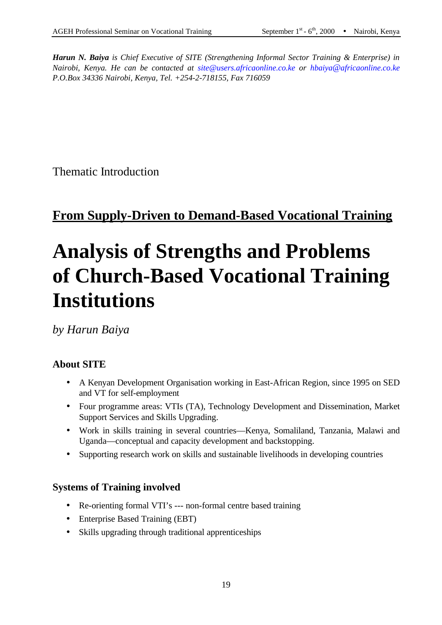*Harun N. Baiya is Chief Executive of SITE (Strengthening Informal Sector Training & Enterprise) in Nairobi, Kenya. He can be contacted at site@users.africaonline.co.ke or hbaiya*@*africaonline.co.ke P.O.Box 34336 Nairobi, Kenya, Tel. +254-2-718155, Fax 716059*

Thematic Introduction

# **From Supply-Driven to Demand-Based Vocational Training**

# **Analysis of Strengths and Problems of Church-Based Vocational Training Institutions**

*by Harun Baiya* 

#### **About SITE**

- A Kenyan Development Organisation working in East-African Region, since 1995 on SED and VT for self-employment
- Four programme areas: VTIs (TA), Technology Development and Dissemination, Market Support Services and Skills Upgrading.
- Work in skills training in several countries—Kenya, Somaliland, Tanzania, Malawi and Uganda—conceptual and capacity development and backstopping.
- Supporting research work on skills and sustainable livelihoods in developing countries

#### **Systems of Training involved**

- Re-orienting formal VTI's --- non-formal centre based training
- Enterprise Based Training (EBT)
- Skills upgrading through traditional apprenticeships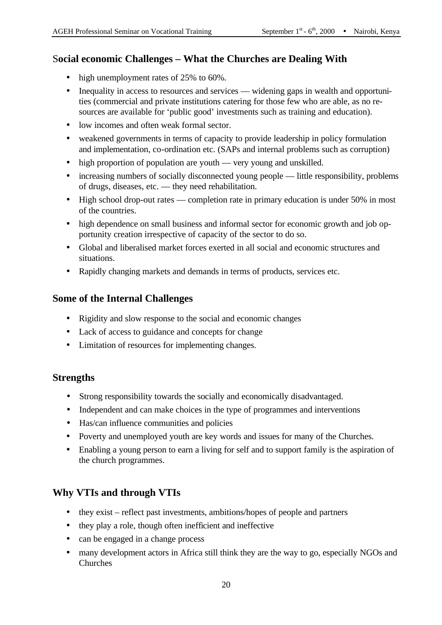#### S**ocial economic Challenges – What the Churches are Dealing With**

- high unemployment rates of 25% to 60%.
- Inequality in access to resources and services widening gaps in wealth and opportunities (commercial and private institutions catering for those few who are able, as no resources are available for 'public good' investments such as training and education).
- low incomes and often weak formal sector.
- weakened governments in terms of capacity to provide leadership in policy formulation and implementation, co-ordination etc. (SAPs and internal problems such as corruption)
- high proportion of population are youth very young and unskilled.
- increasing numbers of socially disconnected young people little responsibility, problems of drugs, diseases, etc. — they need rehabilitation.
- High school drop-out rates completion rate in primary education is under 50% in most of the countries.
- high dependence on small business and informal sector for economic growth and job opportunity creation irrespective of capacity of the sector to do so.
- Global and liberalised market forces exerted in all social and economic structures and situations.
- Rapidly changing markets and demands in terms of products, services etc.

#### **Some of the Internal Challenges**

- Rigidity and slow response to the social and economic changes
- Lack of access to guidance and concepts for change
- Limitation of resources for implementing changes.

#### **Strengths**

- Strong responsibility towards the socially and economically disadvantaged.
- Independent and can make choices in the type of programmes and interventions
- Has/can influence communities and policies
- Poverty and unemployed youth are key words and issues for many of the Churches.
- Enabling a young person to earn a living for self and to support family is the aspiration of the church programmes.

#### **Why VTIs and through VTIs**

- they exist reflect past investments, ambitions/hopes of people and partners
- they play a role, though often inefficient and ineffective
- can be engaged in a change process
- many development actors in Africa still think they are the way to go, especially NGOs and Churches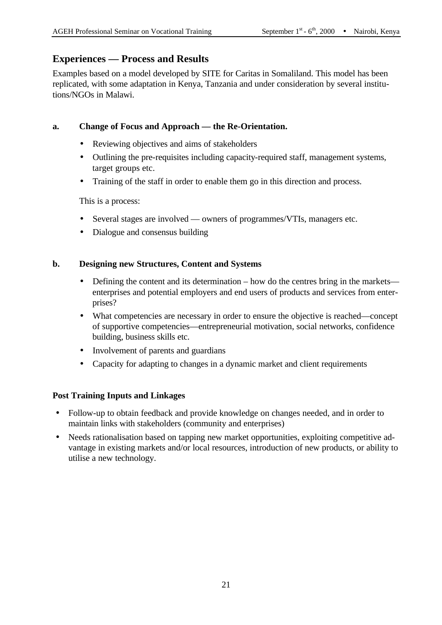#### **Experiences — Process and Results**

Examples based on a model developed by SITE for Caritas in Somaliland. This model has been replicated, with some adaptation in Kenya, Tanzania and under consideration by several institutions/NGOs in Malawi.

#### **a. Change of Focus and Approach — the Re-Orientation.**

- Reviewing objectives and aims of stakeholders
- Outlining the pre-requisites including capacity-required staff, management systems, target groups etc.
- Training of the staff in order to enable them go in this direction and process.

This is a process:

- Several stages are involved owners of programmes/VTIs, managers etc.
- Dialogue and consensus building

#### **b. Designing new Structures, Content and Systems**

- Defining the content and its determination how do the centres bring in the markets enterprises and potential employers and end users of products and services from enterprises?
- What competencies are necessary in order to ensure the objective is reached—concept of supportive competencies—entrepreneurial motivation, social networks, confidence building, business skills etc.
- Involvement of parents and guardians
- Capacity for adapting to changes in a dynamic market and client requirements

#### **Post Training Inputs and Linkages**

- Follow-up to obtain feedback and provide knowledge on changes needed, and in order to maintain links with stakeholders (community and enterprises)
- Needs rationalisation based on tapping new market opportunities, exploiting competitive advantage in existing markets and/or local resources, introduction of new products, or ability to utilise a new technology.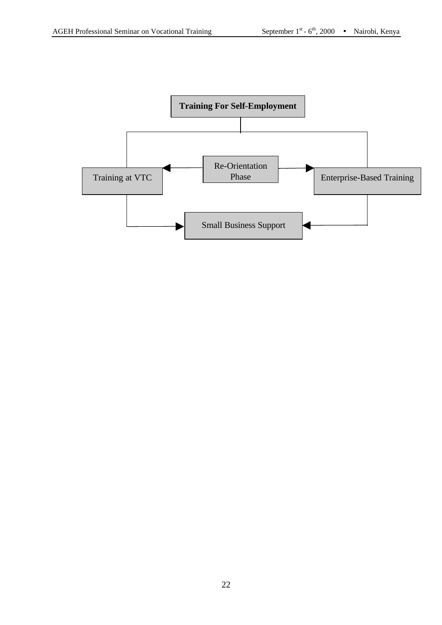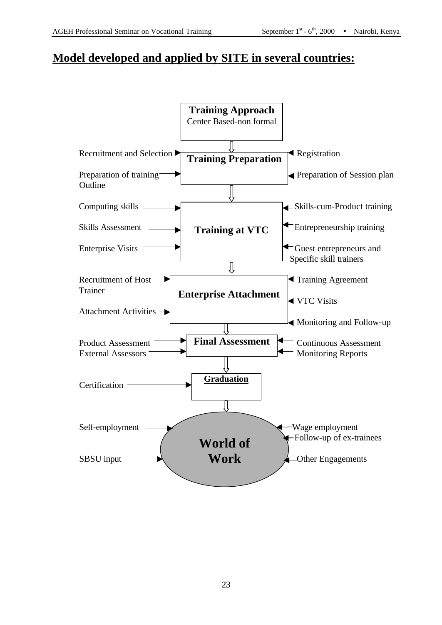## **Model developed and applied by SITE in several countries:**

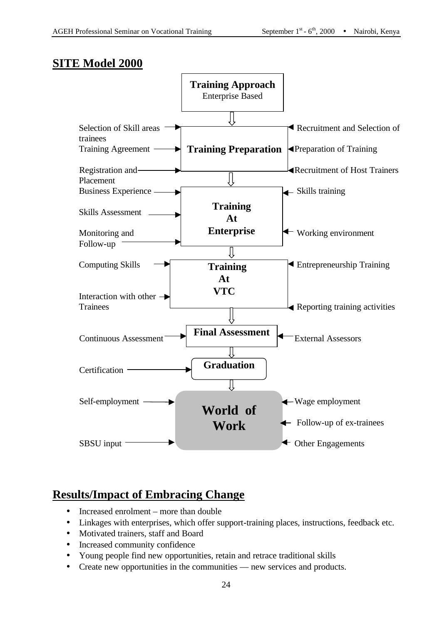## **SITE Model 2000**



# **Results/Impact of Embracing Change**

- Increased enrolment more than double
- Linkages with enterprises, which offer support-training places, instructions, feedback etc.
- Motivated trainers, staff and Board
- Increased community confidence
- Young people find new opportunities, retain and retrace traditional skills
- Create new opportunities in the communities new services and products.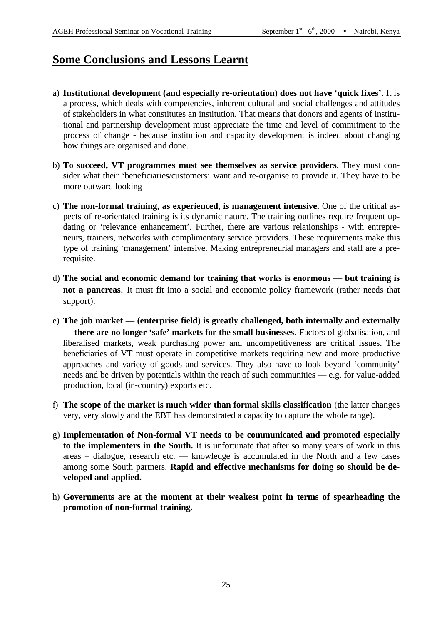# **Some Conclusions and Lessons Learnt**

- a) **Institutional development (and especially re-orientation) does not have 'quick fixes'**. It is a process, which deals with competencies, inherent cultural and social challenges and attitudes of stakeholders in what constitutes an institution. That means that donors and agents of institutional and partnership development must appreciate the time and level of commitment to the process of change - because institution and capacity development is indeed about changing how things are organised and done.
- b) **To succeed, VT programmes must see themselves as service providers**. They must consider what their 'beneficiaries/customers' want and re-organise to provide it. They have to be more outward looking
- c) **The non-formal training, as experienced, is management intensive.** One of the critical aspects of re-orientated training is its dynamic nature. The training outlines require frequent updating or 'relevance enhancement'. Further, there are various relationships - with entrepreneurs, trainers, networks with complimentary service providers. These requirements make this type of training 'management' intensive. Making entrepreneurial managers and staff are a prerequisite.
- d) **The social and economic demand for training that works is enormous but training is not a pancreas**. It must fit into a social and economic policy framework (rather needs that support).
- e) **The job market — (enterprise field) is greatly challenged, both internally and externally — there are no longer 'safe' markets for the small businesses**. Factors of globalisation, and liberalised markets, weak purchasing power and uncompetitiveness are critical issues. The beneficiaries of VT must operate in competitive markets requiring new and more productive approaches and variety of goods and services. They also have to look beyond 'community' needs and be driven by potentials within the reach of such communities — e.g. for value-added production, local (in-country) exports etc.
- f) **The scope of the market is much wider than formal skills classification** (the latter changes very, very slowly and the EBT has demonstrated a capacity to capture the whole range).
- g) **Implementation of Non-formal VT needs to be communicated and promoted especially to the implementers in the South.** It is unfortunate that after so many years of work in this areas – dialogue, research etc. — knowledge is accumulated in the North and a few cases among some South partners. **Rapid and effective mechanisms for doing so should be developed and applied.**
- h) **Governments are at the moment at their weakest point in terms of spearheading the promotion of non-formal training.**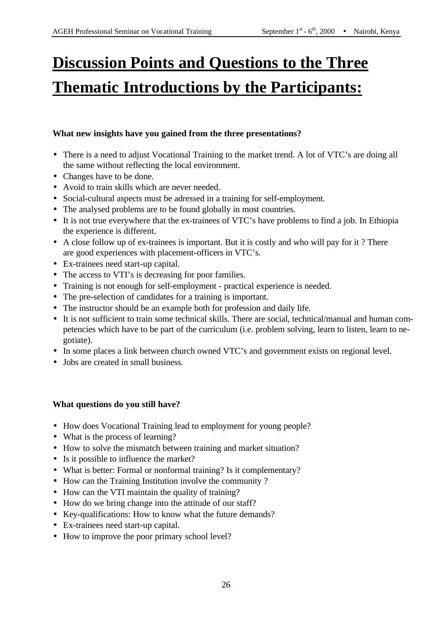# **Discussion Points and Questions to the Three Thematic Introductions by the Participants:**

#### **What new insights have you gained from the three presentations?**

- There is a need to adjust Vocational Training to the market trend. A lot of VTC's are doing all the same without reflecting the local environment.
- Changes have to be done.
- Avoid to train skills which are never needed.
- Social-cultural aspects must be adressed in a training for self-employment.
- The analysed problems are to be found globally in most countries.
- It is not true everywhere that the ex-trainees of VTC's have problems to find a job. In Ethiopia the experience is different.
- A close follow up of ex-trainees is important. But it is costly and who will pay for it ? There are good experiences with placement-officers in VTC's.
- Ex-trainees need start-up capital.
- The access to VTI's is decreasing for poor families.
- Training is not enough for self-employment practical experience is needed.
- The pre-selection of candidates for a training is important.
- The instructor should be an example both for profession and daily life.
- It is not sufficient to train some technical skills. There are social, technical/manual and human competencies which have to be part of the curriculum (i.e. problem solving, learn to listen, learn to negotiate).
- In some places a link between church owned VTC's and government exists on regional level.
- Jobs are created in small business.

#### **What questions do you still have?**

- How does Vocational Training lead to employment for young people?
- What is the process of learning?
- How to solve the mismatch between training and market situation?
- Is it possible to influence the market?
- What is better: Formal or nonformal training? Is it complementary?
- How can the Training Institution involve the community ?
- How can the VTI maintain the quality of training?
- How do we bring change into the attitude of our staff?
- Key-qualifications: How to know what the future demands?
- Ex-trainees need start-up capital.
- How to improve the poor primary school level?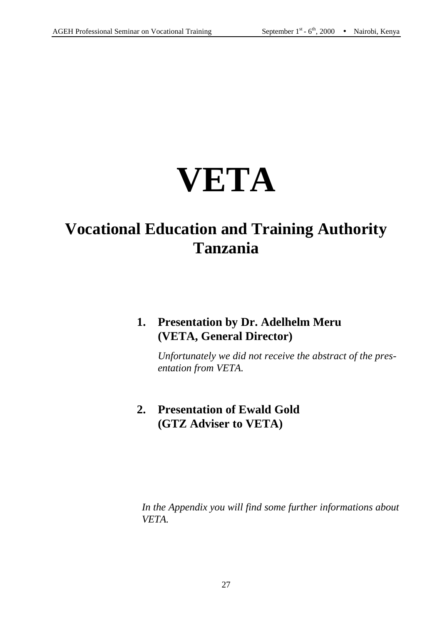# **VETA**

# **Vocational Education and Training Authority Tanzania**

# **1. Presentation by Dr. Adelhelm Meru (VETA, General Director)**

*Unfortunately we did not receive the abstract of the presentation from VETA.* 

# **2. Presentation of Ewald Gold (GTZ Adviser to VETA)**

*In the Appendix you will find some further informations about VETA.*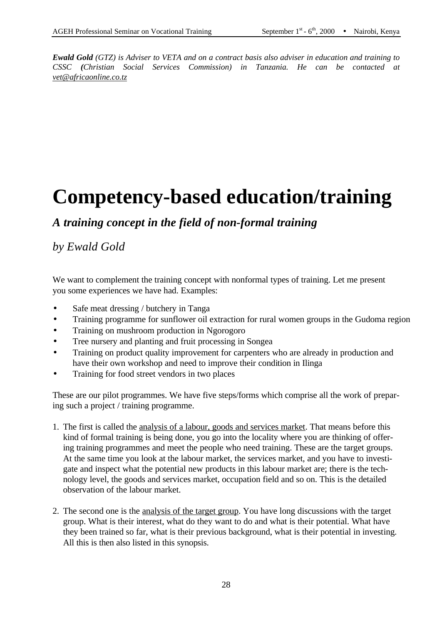*Ewald Gold (GTZ) is Adviser to VETA and on a contract basis also adviser in education and training to CSSC (Christian Social Services Commission) in Tanzania. He can be contacted at vet@africaonline.co.tz*

# **Competency-based education/training**

## *A training concept in the field of non-formal training*

# *by Ewald Gold*

We want to complement the training concept with nonformal types of training. Let me present you some experiences we have had. Examples:

- Safe meat dressing / butchery in Tanga
- Training programme for sunflower oil extraction for rural women groups in the Gudoma region
- Training on mushroom production in Ngorogoro
- Tree nursery and planting and fruit processing in Songea
- Training on product quality improvement for carpenters who are already in production and have their own workshop and need to improve their condition in Ilinga
- Training for food street vendors in two places

These are our pilot programmes. We have five steps/forms which comprise all the work of preparing such a project / training programme.

- 1. The first is called the analysis of a labour, goods and services market. That means before this kind of formal training is being done, you go into the locality where you are thinking of offering training programmes and meet the people who need training. These are the target groups. At the same time you look at the labour market, the services market, and you have to investigate and inspect what the potential new products in this labour market are; there is the technology level, the goods and services market, occupation field and so on. This is the detailed observation of the labour market.
- 2. The second one is the analysis of the target group. You have long discussions with the target group. What is their interest, what do they want to do and what is their potential. What have they been trained so far, what is their previous background, what is their potential in investing. All this is then also listed in this synopsis.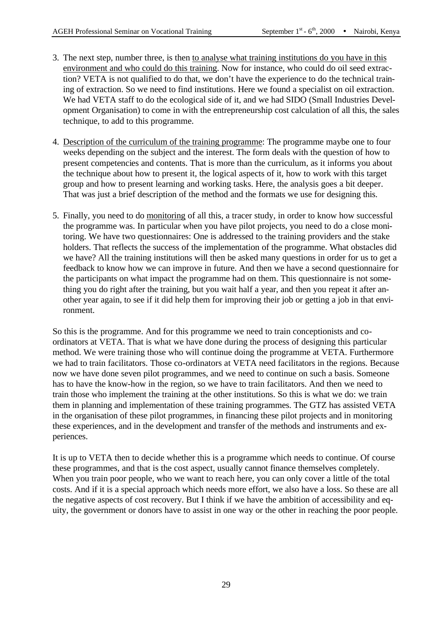- 3. The next step, number three, is then to analyse what training institutions do you have in this environment and who could do this training. Now for instance, who could do oil seed extraction? VETA is not qualified to do that, we don't have the experience to do the technical training of extraction. So we need to find institutions. Here we found a specialist on oil extraction. We had VETA staff to do the ecological side of it, and we had SIDO (Small Industries Development Organisation) to come in with the entrepreneurship cost calculation of all this, the sales technique, to add to this programme.
- 4. Description of the curriculum of the training programme: The programme maybe one to four weeks depending on the subject and the interest. The form deals with the question of how to present competencies and contents. That is more than the curriculum, as it informs you about the technique about how to present it, the logical aspects of it, how to work with this target group and how to present learning and working tasks. Here, the analysis goes a bit deeper. That was just a brief description of the method and the formats we use for designing this.
- 5. Finally, you need to do monitoring of all this, a tracer study, in order to know how successful the programme was. In particular when you have pilot projects, you need to do a close monitoring. We have two questionnaires: One is addressed to the training providers and the stake holders. That reflects the success of the implementation of the programme. What obstacles did we have? All the training institutions will then be asked many questions in order for us to get a feedback to know how we can improve in future. And then we have a second questionnaire for the participants on what impact the programme had on them. This questionnaire is not something you do right after the training, but you wait half a year, and then you repeat it after another year again, to see if it did help them for improving their job or getting a job in that environment.

So this is the programme. And for this programme we need to train conceptionists and coordinators at VETA. That is what we have done during the process of designing this particular method. We were training those who will continue doing the programme at VETA. Furthermore we had to train facilitators. Those co-ordinators at VETA need facilitators in the regions. Because now we have done seven pilot programmes, and we need to continue on such a basis. Someone has to have the know-how in the region, so we have to train facilitators. And then we need to train those who implement the training at the other institutions. So this is what we do: we train them in planning and implementation of these training programmes. The GTZ has assisted VETA in the organisation of these pilot programmes, in financing these pilot projects and in monitoring these experiences, and in the development and transfer of the methods and instruments and experiences.

It is up to VETA then to decide whether this is a programme which needs to continue. Of course these programmes, and that is the cost aspect, usually cannot finance themselves completely. When you train poor people, who we want to reach here, you can only cover a little of the total costs. And if it is a special approach which needs more effort, we also have a loss. So these are all the negative aspects of cost recovery. But I think if we have the ambition of accessibility and equity, the government or donors have to assist in one way or the other in reaching the poor people.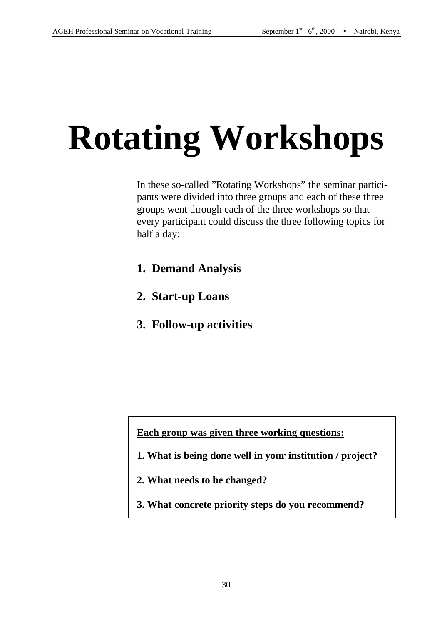# **Rotating Workshops**

In these so-called "Rotating Workshops" the seminar participants were divided into three groups and each of these three groups went through each of the three workshops so that every participant could discuss the three following topics for half a day:

- **1. Demand Analysis**
- **2. Start-up Loans**
- **3. Follow-up activities**

**Each group was given three working questions:** 

- **1. What is being done well in your institution / project?**
- **2. What needs to be changed?**
- **3. What concrete priority steps do you recommend?**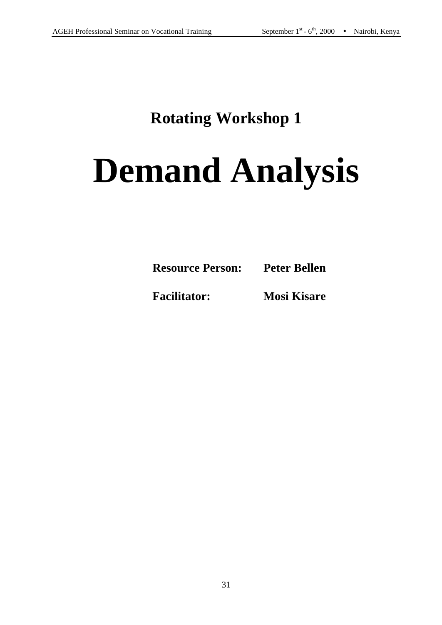# **Rotating Workshop 1**

# **Demand Analysis**

| <b>Resource Person:</b><br><b>Peter Bellen</b> |
|------------------------------------------------|
|------------------------------------------------|

**Facilitator: Mosi Kisare**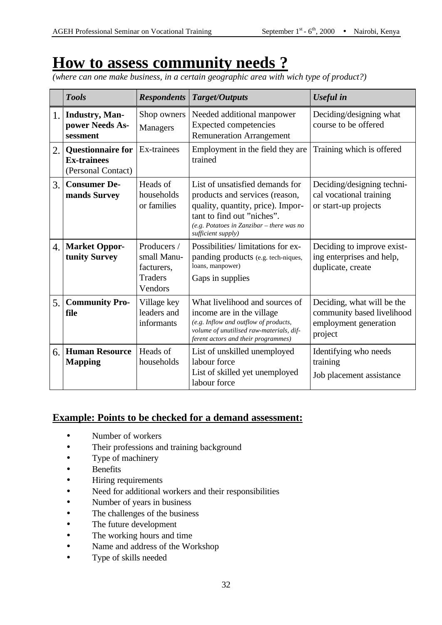# **How to assess community needs ?**

*(where can one make business, in a certain geographic area with wich type of product?)*

|     | <b>Tools</b>                                                         | <b>Respondents</b>                                                    | Target/Outputs                                                                                                                                                                                            | Useful in                                                                                    |
|-----|----------------------------------------------------------------------|-----------------------------------------------------------------------|-----------------------------------------------------------------------------------------------------------------------------------------------------------------------------------------------------------|----------------------------------------------------------------------------------------------|
| 1.1 | <b>Industry</b> , Man-<br>power Needs As-<br>sessment                | Shop owners<br><b>Managers</b>                                        | Needed additional manpower<br><b>Expected competencies</b><br><b>Remuneration Arrangement</b>                                                                                                             | Deciding/designing what<br>course to be offered                                              |
| 2.  | <b>Questionnaire for</b><br><b>Ex-trainees</b><br>(Personal Contact) | Ex-trainees                                                           | Employment in the field they are.<br>trained                                                                                                                                                              | Training which is offered                                                                    |
| 3.  | <b>Consumer De-</b><br>mands Survey                                  | Heads of<br>households<br>or families                                 | List of unsatisfied demands for<br>products and services (reason,<br>quality, quantity, price). Impor-<br>tant to find out "niches".<br>$(e.g.$ Potatoes in Zanzibar – there was no<br>sufficient supply) | Deciding/designing techni-<br>cal vocational training<br>or start-up projects                |
| 4.1 | <b>Market Oppor-</b><br>tunity Survey                                | Producers /<br>small Manu-<br>facturers,<br><b>Traders</b><br>Vendors | Possibilities/limitations for ex-<br>panding products (e.g. tech-niques,<br>loans, manpower)<br>Gaps in supplies                                                                                          | Deciding to improve exist-<br>ing enterprises and help,<br>duplicate, create                 |
| 5.  | <b>Community Pro-</b><br>file                                        | Village key<br>leaders and<br>informants                              | What livelihood and sources of<br>income are in the village<br>(e.g. Inflow and outflow of products,<br>volume of unutilised raw-materials, dif-<br>ferent actors and their programmes)                   | Deciding, what will be the<br>community based livelihood<br>employment generation<br>project |
| 6.  | <b>Human Resource</b><br><b>Mapping</b>                              | Heads of<br>households                                                | List of unskilled unemployed<br>labour force<br>List of skilled yet unemployed<br>labour force                                                                                                            | Identifying who needs<br>training<br>Job placement assistance                                |

#### **Example: Points to be checked for a demand assessment:**

- Number of workers
- Their professions and training background
- Type of machinery
- **Benefits**
- Hiring requirements
- Need for additional workers and their responsibilities
- Number of years in business
- The challenges of the business
- The future development
- The working hours and time
- Name and address of the Workshop
- Type of skills needed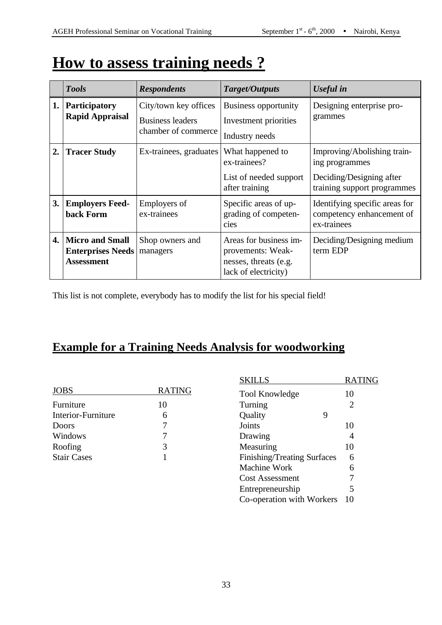# **How to assess training needs ?**

|    | <b>Tools</b>                                                            | <b>Respondents</b>                                                      | Target/Outputs                                                                               | <b>Useful</b> in                                                                                         |
|----|-------------------------------------------------------------------------|-------------------------------------------------------------------------|----------------------------------------------------------------------------------------------|----------------------------------------------------------------------------------------------------------|
|    | 1. Participatory<br><b>Rapid Appraisal</b>                              | City/town key offices<br><b>Business leaders</b><br>chamber of commerce | <b>Business opportunity</b><br>Investment priorities<br>Industry needs                       | Designing enterprise pro-<br>grammes                                                                     |
| 2. | <b>Tracer Study</b>                                                     | Ex-trainees, graduates                                                  | What happened to<br>ex-trainees?<br>List of needed support<br>after training                 | Improving/Abolishing train-<br>ing programmes<br>Deciding/Designing after<br>training support programmes |
| 3. | <b>Employers Feed-</b><br>back Form                                     | <b>Employers of</b><br>ex-trainees                                      | Specific areas of up-<br>grading of competen-<br>cies                                        | Identifying specific areas for<br>competency enhancement of<br>ex-trainees                               |
| 4. | <b>Micro and Small</b><br><b>Enterprises Needs</b><br><b>Assessment</b> | Shop owners and<br>managers                                             | Areas for business im-<br>provements: Weak-<br>nesses, threats (e.g.<br>lack of electricity) | Deciding/Designing medium<br>term EDP                                                                    |

This list is not complete, everybody has to modify the list for his special field!

# **Example for a Training Needs Analysis for woodworking**

| <b>JOBS</b>        | <b>RATING</b> |
|--------------------|---------------|
| Furniture          | 10            |
| Interior-Furniture | 6             |
| Doors              | 7             |
| Windows            |               |
| Roofing            | 3             |
| <b>Stair Cases</b> |               |

| <b>SKILLS</b>               | <b>RATING</b>               |
|-----------------------------|-----------------------------|
| <b>Tool Knowledge</b>       | 10                          |
| Turning                     | $\mathcal{D}_{\mathcal{L}}$ |
| Quality<br>9                |                             |
| Joints                      | 10                          |
| Drawing                     |                             |
| Measuring                   | 10                          |
| Finishing/Treating Surfaces | 6                           |
| Machine Work                | 6                           |
| <b>Cost Assessment</b>      | 7                           |
| Entrepreneurship            | 5                           |
| Co-operation with Workers   | 10                          |
|                             |                             |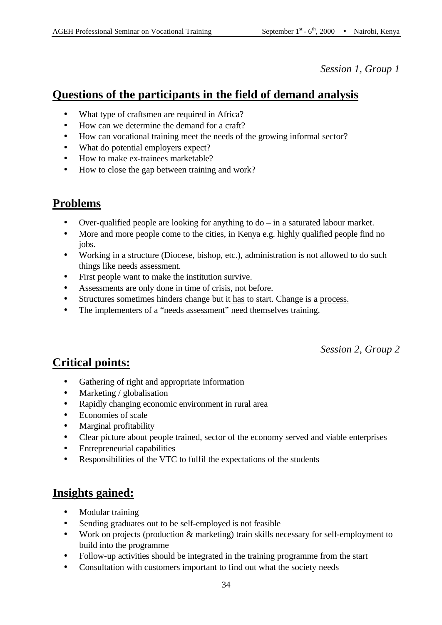*Session 1, Group 1*

# **Questions of the participants in the field of demand analysis**

- What type of craftsmen are required in Africa?
- How can we determine the demand for a craft?
- How can vocational training meet the needs of the growing informal sector?
- What do potential employers expect?
- How to make ex-trainees marketable?
- How to close the gap between training and work?

### **Problems**

- Over-qualified people are looking for anything to  $do in$  a saturated labour market.
- More and more people come to the cities, in Kenya e.g. highly qualified people find no jobs.
- Working in a structure (Diocese, bishop, etc.), administration is not allowed to do such things like needs assessment.
- First people want to make the institution survive.
- Assessments are only done in time of crisis, not before.
- Structures sometimes hinders change but it has to start. Change is a process.
- The implementers of a "needs assessment" need themselves training.

*Session 2, Group 2*

# **Critical points:**

- Gathering of right and appropriate information
- Marketing / globalisation
- Rapidly changing economic environment in rural area
- Economies of scale
- Marginal profitability
- Clear picture about people trained, sector of the economy served and viable enterprises
- Entrepreneurial capabilities
- Responsibilities of the VTC to fulfil the expectations of the students

### **Insights gained:**

- Modular training
- Sending graduates out to be self-employed is not feasible
- Work on projects (production & marketing) train skills necessary for self-employment to build into the programme
- Follow-up activities should be integrated in the training programme from the start
- Consultation with customers important to find out what the society needs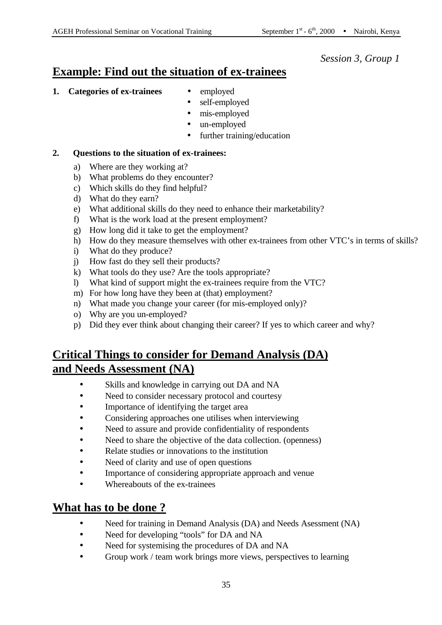#### *Session 3, Group 1*

### **Example: Find out the situation of ex-trainees**

- **1. Categories of ex-trainees ·** employed
- - self-employed
	- mis-employed
	- un-employed
	- further training/education

#### **2. Questions to the situation of ex-trainees:**

- a) Where are they working at?
- b) What problems do they encounter?
- c) Which skills do they find helpful?
- d) What do they earn?
- e) What additional skills do they need to enhance their marketability?
- f) What is the work load at the present employment?
- g) How long did it take to get the employment?
- h) How do they measure themselves with other ex-trainees from other VTC's in terms of skills?
- i) What do they produce?
- j) How fast do they sell their products?
- k) What tools do they use? Are the tools appropriate?
- l) What kind of support might the ex-trainees require from the VTC?
- m) For how long have they been at (that) employment?
- n) What made you change your career (for mis-employed only)?
- o) Why are you un-employed?
- p) Did they ever think about changing their career? If yes to which career and why?

## **Critical Things to consider for Demand Analysis (DA) and Needs Assessment (NA)**

- Skills and knowledge in carrying out DA and NA
- Need to consider necessary protocol and courtesy
- Importance of identifying the target area
- Considering approaches one utilises when interviewing
- Need to assure and provide confidentiality of respondents
- Need to share the objective of the data collection. (openness)
- Relate studies or innovations to the institution
- Need of clarity and use of open questions
- Importance of considering appropriate approach and venue
- Whereabouts of the ex-trainees

### **What has to be done ?**

- Need for training in Demand Analysis (DA) and Needs Asessment (NA)
- Need for developing "tools" for DA and NA
- Need for systemising the procedures of DA and NA
- Group work / team work brings more views, perspectives to learning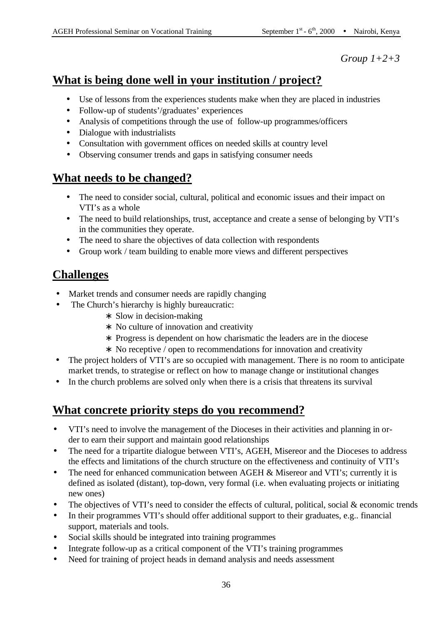*Group 1+2+3*

# **What is being done well in your institution / project?**

- Use of lessons from the experiences students make when they are placed in industries
- Follow-up of students'/graduates' experiences
- Analysis of competitions through the use of follow-up programmes/officers
- Dialogue with industrialists
- Consultation with government offices on needed skills at country level
- Observing consumer trends and gaps in satisfying consumer needs

# **What needs to be changed?**

- The need to consider social, cultural, political and economic issues and their impact on VTI's as a whole
- The need to build relationships, trust, acceptance and create a sense of belonging by VTI's in the communities they operate.
- The need to share the objectives of data collection with respondents
- Group work / team building to enable more views and different perspectives

# **Challenges**

- Market trends and consumer needs are rapidly changing
- The Church's hierarchy is highly bureaucratic:
	- ∗ Slow in decision-making
	- ∗ No culture of innovation and creativity
	- ∗ Progress is dependent on how charismatic the leaders are in the diocese
	- ∗ No receptive / open to recommendations for innovation and creativity
- The project holders of VTI's are so occupied with management. There is no room to anticipate market trends, to strategise or reflect on how to manage change or institutional changes
- In the church problems are solved only when there is a crisis that threatens its survival

# **What concrete priority steps do you recommend?**

- VTI's need to involve the management of the Dioceses in their activities and planning in order to earn their support and maintain good relationships
- The need for a tripartite dialogue between VTI's, AGEH, Misereor and the Dioceses to address the effects and limitations of the church structure on the effectiveness and continuity of VTI's
- The need for enhanced communication between AGEH & Misereor and VTI's; currently it is defined as isolated (distant), top-down, very formal (i.e. when evaluating projects or initiating new ones)
- The objectives of VTI's need to consider the effects of cultural, political, social & economic trends
- In their programmes VTI's should offer additional support to their graduates, e.g.. financial support, materials and tools.
- Social skills should be integrated into training programmes
- Integrate follow-up as a critical component of the VTI's training programmes
- Need for training of project heads in demand analysis and needs assessment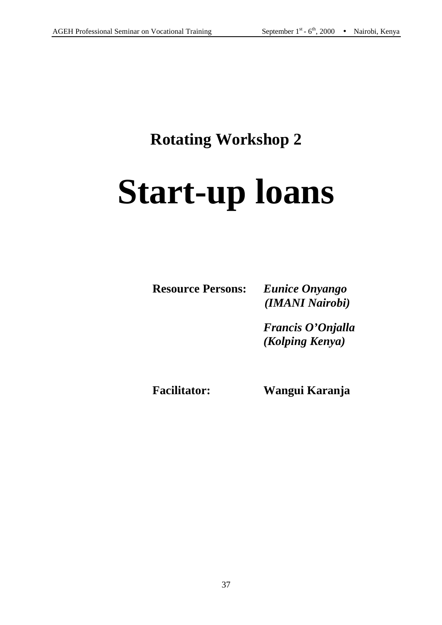# **Rotating Workshop 2**

# **Start-up loans**

**Resource Persons:** *Eunice Onyango*

 *(IMANI Nairobi)*

 *Francis O'Onjalla (Kolping Kenya)*

**Facilitator: Wangui Karanja**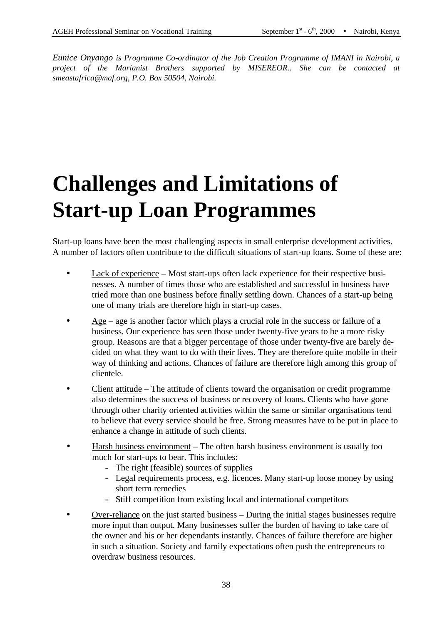*Eunice Onyango is Programme Co-ordinator of the Job Creation Programme of IMANI in Nairobi, a project of the Marianist Brothers supported by MISEREOR.. She can be contacted at smeastafrica@maf.org, P.O. Box 50504, Nairobi.*

# **Challenges and Limitations of Start-up Loan Programmes**

Start-up loans have been the most challenging aspects in small enterprise development activities. A number of factors often contribute to the difficult situations of start-up loans. Some of these are:

- Lack of experience Most start-ups often lack experience for their respective businesses. A number of times those who are established and successful in business have tried more than one business before finally settling down. Chances of a start-up being one of many trials are therefore high in start-up cases.
- $\frac{\text{Age}}{\text{Age}}$  age is another factor which plays a crucial role in the success or failure of a business. Our experience has seen those under twenty-five years to be a more risky group. Reasons are that a bigger percentage of those under twenty-five are barely decided on what they want to do with their lives. They are therefore quite mobile in their way of thinking and actions. Chances of failure are therefore high among this group of clientele.
- Client attitude The attitude of clients toward the organisation or credit programme also determines the success of business or recovery of loans. Clients who have gone through other charity oriented activities within the same or similar organisations tend to believe that every service should be free. Strong measures have to be put in place to enhance a change in attitude of such clients.
- Harsh business environment The often harsh business environment is usually too much for start-ups to bear. This includes:
	- The right (feasible) sources of supplies
	- Legal requirements process, e.g. licences. Many start-up loose money by using short term remedies
	- Stiff competition from existing local and international competitors
- Over-reliance on the just started business During the initial stages businesses require more input than output. Many businesses suffer the burden of having to take care of the owner and his or her dependants instantly. Chances of failure therefore are higher in such a situation. Society and family expectations often push the entrepreneurs to overdraw business resources.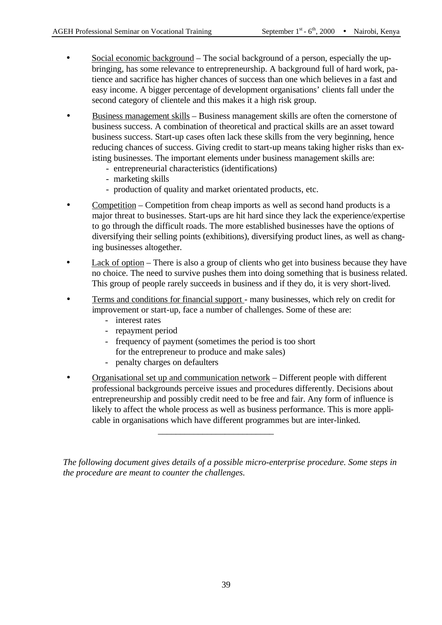- Social economic background The social background of a person, especially the upbringing, has some relevance to entrepreneurship. A background full of hard work, patience and sacrifice has higher chances of success than one which believes in a fast and easy income. A bigger percentage of development organisations' clients fall under the second category of clientele and this makes it a high risk group.
- Business management skills Business management skills are often the cornerstone of business success. A combination of theoretical and practical skills are an asset toward business success. Start-up cases often lack these skills from the very beginning, hence reducing chances of success. Giving credit to start-up means taking higher risks than existing businesses. The important elements under business management skills are:
	- entrepreneurial characteristics (identifications)
	- marketing skills
	- production of quality and market orientated products, etc.
- Competition Competition from cheap imports as well as second hand products is a major threat to businesses. Start-ups are hit hard since they lack the experience/expertise to go through the difficult roads. The more established businesses have the options of diversifying their selling points (exhibitions), diversifying product lines, as well as changing businesses altogether.
- $Lack of option There is also a group of clients who get into business because they have$ no choice. The need to survive pushes them into doing something that is business related. This group of people rarely succeeds in business and if they do, it is very short-lived.
- Terms and conditions for financial support many businesses, which rely on credit for improvement or start-up, face a number of challenges. Some of these are:
	- interest rates
	- repayment period
	- frequency of payment (sometimes the period is too short for the entrepreneur to produce and make sales)
	- penalty charges on defaulters
- Organisational set up and communication network Different people with different professional backgrounds perceive issues and procedures differently. Decisions about entrepreneurship and possibly credit need to be free and fair. Any form of influence is likely to affect the whole process as well as business performance. This is more applicable in organisations which have different programmes but are inter-linked.

\_\_\_\_\_\_\_\_\_\_\_\_\_\_\_\_\_\_\_\_\_\_\_\_\_\_

*The following document gives details of a possible micro-enterprise procedure. Some steps in the procedure are meant to counter the challenges.*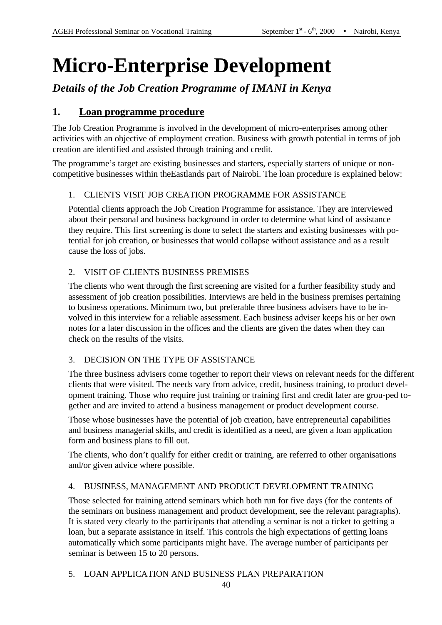# **Micro-Enterprise Development**

*Details of the Job Creation Programme of IMANI in Kenya*

## **1. Loan programme procedure**

The Job Creation Programme is involved in the development of micro-enterprises among other activities with an objective of employment creation. Business with growth potential in terms of job creation are identified and assisted through training and credit.

The programme's target are existing businesses and starters, especially starters of unique or noncompetitive businesses within theEastlands part of Nairobi. The loan procedure is explained below:

## 1. CLIENTS VISIT JOB CREATION PROGRAMME FOR ASSISTANCE

Potential clients approach the Job Creation Programme for assistance. They are interviewed about their personal and business background in order to determine what kind of assistance they require. This first screening is done to select the starters and existing businesses with potential for job creation, or businesses that would collapse without assistance and as a result cause the loss of jobs.

## 2. VISIT OF CLIENTS BUSINESS PREMISES

The clients who went through the first screening are visited for a further feasibility study and assessment of job creation possibilities. Interviews are held in the business premises pertaining to business operations. Minimum two, but preferable three business advisers have to be involved in this interview for a reliable assessment. Each business adviser keeps his or her own notes for a later discussion in the offices and the clients are given the dates when they can check on the results of the visits.

## 3. DECISION ON THE TYPE OF ASSISTANCE

The three business advisers come together to report their views on relevant needs for the different clients that were visited. The needs vary from advice, credit, business training, to product development training. Those who require just training or training first and credit later are grou-ped together and are invited to attend a business management or product development course.

Those whose businesses have the potential of job creation, have entrepreneurial capabilities and business managerial skills, and credit is identified as a need, are given a loan application form and business plans to fill out.

The clients, who don't qualify for either credit or training, are referred to other organisations and/or given advice where possible.

## 4. BUSINESS, MANAGEMENT AND PRODUCT DEVELOPMENT TRAINING

Those selected for training attend seminars which both run for five days (for the contents of the seminars on business management and product development, see the relevant paragraphs). It is stated very clearly to the participants that attending a seminar is not a ticket to getting a loan, but a separate assistance in itself. This controls the high expectations of getting loans automatically which some participants might have. The average number of participants per seminar is between 15 to 20 persons.

#### 5. LOAN APPLICATION AND BUSINESS PLAN PREPARATION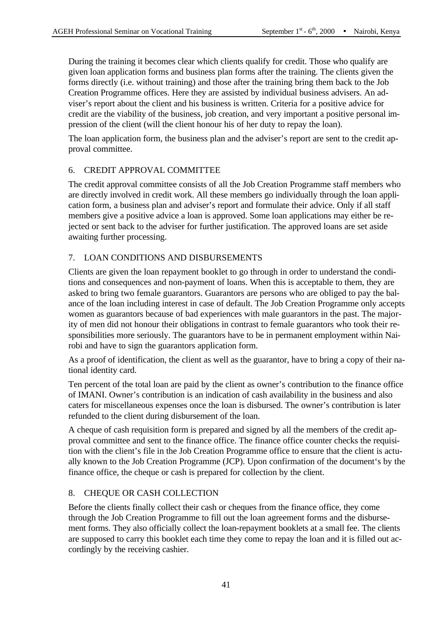During the training it becomes clear which clients qualify for credit. Those who qualify are given loan application forms and business plan forms after the training. The clients given the forms directly (i.e. without training) and those after the training bring them back to the Job Creation Programme offices. Here they are assisted by individual business advisers. An adviser's report about the client and his business is written. Criteria for a positive advice for credit are the viability of the business, job creation, and very important a positive personal impression of the client (will the client honour his of her duty to repay the loan).

The loan application form, the business plan and the adviser's report are sent to the credit approval committee.

#### 6. CREDIT APPROVAL COMMITTEE

The credit approval committee consists of all the Job Creation Programme staff members who are directly involved in credit work. All these members go individually through the loan application form, a business plan and adviser's report and formulate their advice. Only if all staff members give a positive advice a loan is approved. Some loan applications may either be rejected or sent back to the adviser for further justification. The approved loans are set aside awaiting further processing.

#### 7. LOAN CONDITIONS AND DISBURSEMENTS

Clients are given the loan repayment booklet to go through in order to understand the conditions and consequences and non-payment of loans. When this is acceptable to them, they are asked to bring two female guarantors. Guarantors are persons who are obliged to pay the balance of the loan including interest in case of default. The Job Creation Programme only accepts women as guarantors because of bad experiences with male guarantors in the past. The majority of men did not honour their obligations in contrast to female guarantors who took their responsibilities more seriously. The guarantors have to be in permanent employment within Nairobi and have to sign the guarantors application form.

As a proof of identification, the client as well as the guarantor, have to bring a copy of their national identity card.

Ten percent of the total loan are paid by the client as owner's contribution to the finance office of IMANI. Owner's contribution is an indication of cash availability in the business and also caters for miscellaneous expenses once the loan is disbursed. The owner's contribution is later refunded to the client during disbursement of the loan.

A cheque of cash requisition form is prepared and signed by all the members of the credit approval committee and sent to the finance office. The finance office counter checks the requisition with the client's file in the Job Creation Programme office to ensure that the client is actually known to the Job Creation Programme (JCP). Upon confirmation of the document's by the finance office, the cheque or cash is prepared for collection by the client.

## 8. CHEQUE OR CASH COLLECTION

Before the clients finally collect their cash or cheques from the finance office, they come through the Job Creation Programme to fill out the loan agreement forms and the disbursement forms. They also officially collect the loan-repayment booklets at a small fee. The clients are supposed to carry this booklet each time they come to repay the loan and it is filled out accordingly by the receiving cashier.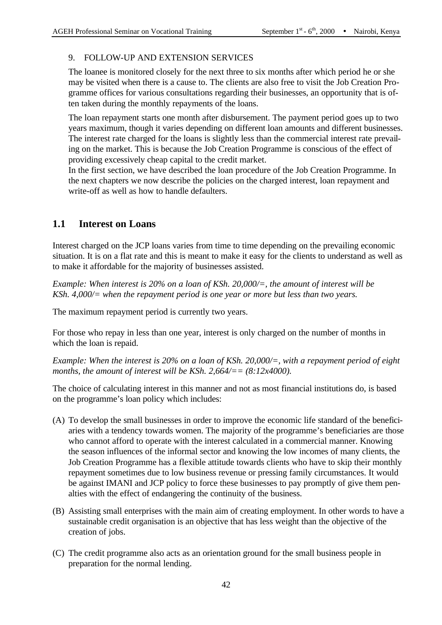#### 9. FOLLOW-UP AND EXTENSION SERVICES

The loanee is monitored closely for the next three to six months after which period he or she may be visited when there is a cause to. The clients are also free to visit the Job Creation Programme offices for various consultations regarding their businesses, an opportunity that is often taken during the monthly repayments of the loans.

The loan repayment starts one month after disbursement. The payment period goes up to two years maximum, though it varies depending on different loan amounts and different businesses. The interest rate charged for the loans is slightly less than the commercial interest rate prevailing on the market. This is because the Job Creation Programme is conscious of the effect of providing excessively cheap capital to the credit market.

In the first section, we have described the loan procedure of the Job Creation Programme. In the next chapters we now describe the policies on the charged interest, loan repayment and write-off as well as how to handle defaulters.

## **1.1 Interest on Loans**

Interest charged on the JCP loans varies from time to time depending on the prevailing economic situation. It is on a flat rate and this is meant to make it easy for the clients to understand as well as to make it affordable for the majority of businesses assisted.

*Example: When interest is 20% on a loan of KSh. 20,000/=, the amount of interest will be KSh. 4,000/= when the repayment period is one year or more but less than two years.* 

The maximum repayment period is currently two years.

For those who repay in less than one year, interest is only charged on the number of months in which the loan is repaid.

*Example: When the interest is 20% on a loan of KSh. 20,000/=, with a repayment period of eight months, the amount of interest will be KSh. 2,664/== (8:12x4000).*

The choice of calculating interest in this manner and not as most financial institutions do, is based on the programme's loan policy which includes:

- (A) To develop the small businesses in order to improve the economic life standard of the beneficiaries with a tendency towards women. The majority of the programme's beneficiaries are those who cannot afford to operate with the interest calculated in a commercial manner. Knowing the season influences of the informal sector and knowing the low incomes of many clients, the Job Creation Programme has a flexible attitude towards clients who have to skip their monthly repayment sometimes due to low business revenue or pressing family circumstances. It would be against IMANI and JCP policy to force these businesses to pay promptly of give them penalties with the effect of endangering the continuity of the business.
- (B) Assisting small enterprises with the main aim of creating employment. In other words to have a sustainable credit organisation is an objective that has less weight than the objective of the creation of jobs.
- (C) The credit programme also acts as an orientation ground for the small business people in preparation for the normal lending.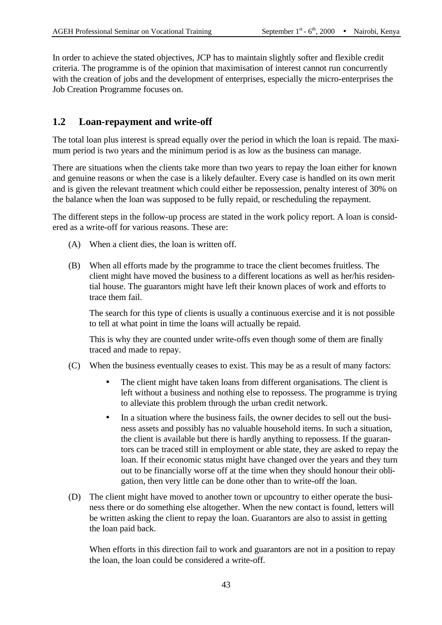In order to achieve the stated objectives, JCP has to maintain slightly softer and flexible credit criteria. The programme is of the opinion that maximisation of interest cannot run concurrently with the creation of jobs and the development of enterprises, especially the micro-enterprises the Job Creation Programme focuses on.

## **1.2 Loan-repayment and write-off**

The total loan plus interest is spread equally over the period in which the loan is repaid. The maximum period is two years and the minimum period is as low as the business can manage.

There are situations when the clients take more than two years to repay the loan either for known and genuine reasons or when the case is a likely defaulter. Every case is handled on its own merit and is given the relevant treatment which could either be repossession, penalty interest of 30% on the balance when the loan was supposed to be fully repaid, or rescheduling the repayment.

The different steps in the follow-up process are stated in the work policy report. A loan is considered as a write-off for various reasons. These are:

- (A) When a client dies, the loan is written off.
- (B) When all efforts made by the programme to trace the client becomes fruitless. The client might have moved the business to a different locations as well as her/his residential house. The guarantors might have left their known places of work and efforts to trace them fail.

The search for this type of clients is usually a continuous exercise and it is not possible to tell at what point in time the loans will actually be repaid.

This is why they are counted under write-offs even though some of them are finally traced and made to repay.

- (C) When the business eventually ceases to exist. This may be as a result of many factors:
	- The client might have taken loans from different organisations. The client is left without a business and nothing else to repossess. The programme is trying to alleviate this problem through the urban credit network.
	- In a situation where the business fails, the owner decides to sell out the business assets and possibly has no valuable household items. In such a situation, the client is available but there is hardly anything to repossess. If the guarantors can be traced still in employment or able state, they are asked to repay the loan. If their economic status might have changed over the years and they turn out to be financially worse off at the time when they should honour their obligation, then very little can be done other than to write-off the loan.
- (D) The client might have moved to another town or upcountry to either operate the business there or do something else altogether. When the new contact is found, letters will be written asking the client to repay the loan. Guarantors are also to assist in getting the loan paid back.

When efforts in this direction fail to work and guarantors are not in a position to repay the loan, the loan could be considered a write-off.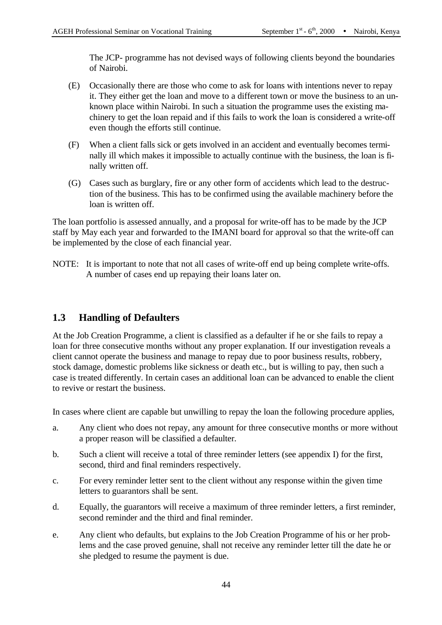The JCP- programme has not devised ways of following clients beyond the boundaries of Nairobi.

- (E) Occasionally there are those who come to ask for loans with intentions never to repay it. They either get the loan and move to a different town or move the business to an unknown place within Nairobi. In such a situation the programme uses the existing machinery to get the loan repaid and if this fails to work the loan is considered a write-off even though the efforts still continue.
- (F) When a client falls sick or gets involved in an accident and eventually becomes terminally ill which makes it impossible to actually continue with the business, the loan is finally written off.
- (G) Cases such as burglary, fire or any other form of accidents which lead to the destruction of the business. This has to be confirmed using the available machinery before the loan is written off.

The loan portfolio is assessed annually, and a proposal for write-off has to be made by the JCP staff by May each year and forwarded to the IMANI board for approval so that the write-off can be implemented by the close of each financial year.

NOTE: It is important to note that not all cases of write-off end up being complete write-offs. A number of cases end up repaying their loans later on.

## **1.3 Handling of Defaulters**

At the Job Creation Programme, a client is classified as a defaulter if he or she fails to repay a loan for three consecutive months without any proper explanation. If our investigation reveals a client cannot operate the business and manage to repay due to poor business results, robbery, stock damage, domestic problems like sickness or death etc., but is willing to pay, then such a case is treated differently. In certain cases an additional loan can be advanced to enable the client to revive or restart the business.

In cases where client are capable but unwilling to repay the loan the following procedure applies,

- a. Any client who does not repay, any amount for three consecutive months or more without a proper reason will be classified a defaulter.
- b. Such a client will receive a total of three reminder letters (see appendix I) for the first, second, third and final reminders respectively.
- c. For every reminder letter sent to the client without any response within the given time letters to guarantors shall be sent.
- d. Equally, the guarantors will receive a maximum of three reminder letters, a first reminder, second reminder and the third and final reminder.
- e. Any client who defaults, but explains to the Job Creation Programme of his or her problems and the case proved genuine, shall not receive any reminder letter till the date he or she pledged to resume the payment is due.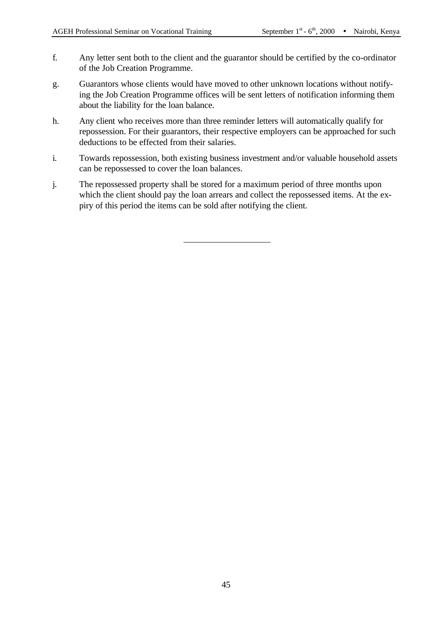- f. Any letter sent both to the client and the guarantor should be certified by the co-ordinator of the Job Creation Programme.
- g. Guarantors whose clients would have moved to other unknown locations without notifying the Job Creation Programme offices will be sent letters of notification informing them about the liability for the loan balance.
- h. Any client who receives more than three reminder letters will automatically qualify for repossession. For their guarantors, their respective employers can be approached for such deductions to be effected from their salaries.
- i. Towards repossession, both existing business investment and/or valuable household assets can be repossessed to cover the loan balances.
- j. The repossessed property shall be stored for a maximum period of three months upon which the client should pay the loan arrears and collect the repossessed items. At the expiry of this period the items can be sold after notifying the client.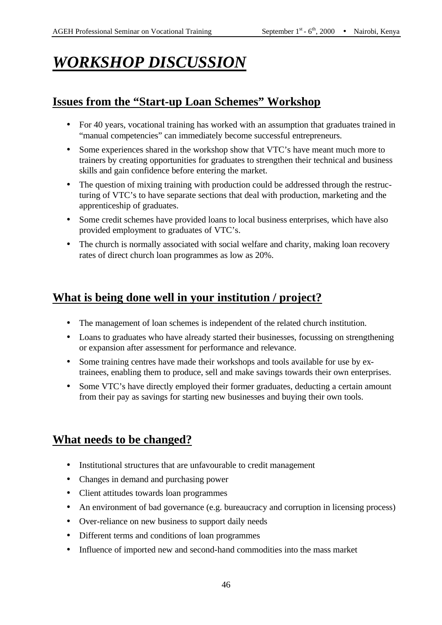# *WORKSHOP DISCUSSION*

## **Issues from the "Start-up Loan Schemes" Workshop**

- For 40 years, vocational training has worked with an assumption that graduates trained in "manual competencies" can immediately become successful entrepreneurs.
- Some experiences shared in the workshop show that VTC's have meant much more to trainers by creating opportunities for graduates to strengthen their technical and business skills and gain confidence before entering the market.
- The question of mixing training with production could be addressed through the restructuring of VTC's to have separate sections that deal with production, marketing and the apprenticeship of graduates.
- Some credit schemes have provided loans to local business enterprises, which have also provided employment to graduates of VTC's.
- The church is normally associated with social welfare and charity, making loan recovery rates of direct church loan programmes as low as 20%.

## **What is being done well in your institution / project?**

- The management of loan schemes is independent of the related church institution.
- Loans to graduates who have already started their businesses, focussing on strengthening or expansion after assessment for performance and relevance.
- Some training centres have made their workshops and tools available for use by extrainees, enabling them to produce, sell and make savings towards their own enterprises.
- Some VTC's have directly employed their former graduates, deducting a certain amount from their pay as savings for starting new businesses and buying their own tools.

## **What needs to be changed?**

- Institutional structures that are unfavourable to credit management
- Changes in demand and purchasing power
- Client attitudes towards loan programmes
- An environment of bad governance (e.g. bureaucracy and corruption in licensing process)
- Over-reliance on new business to support daily needs
- Different terms and conditions of loan programmes
- Influence of imported new and second-hand commodities into the mass market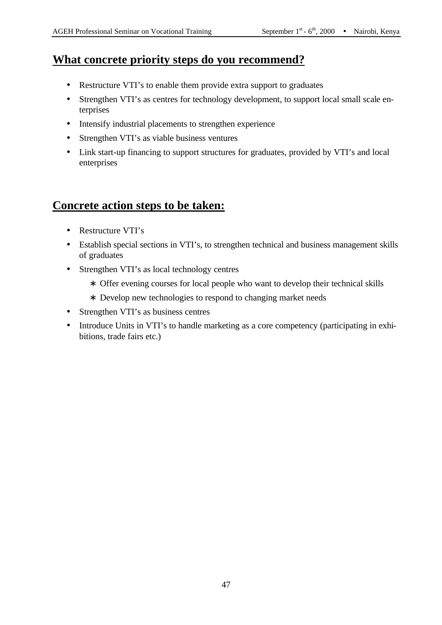## **What concrete priority steps do you recommend?**

- Restructure VTI's to enable them provide extra support to graduates
- Strengthen VTI's as centres for technology development, to support local small scale enterprises
- Intensify industrial placements to strengthen experience
- Strengthen VTI's as viable business ventures
- Link start-up financing to support structures for graduates, provided by VTI's and local enterprises

## **Concrete action steps to be taken:**

- Restructure VTI's
- Establish special sections in VTI's, to strengthen technical and business management skills of graduates
- Strengthen VTI's as local technology centres
	- ∗ Offer evening courses for local people who want to develop their technical skills
	- ∗ Develop new technologies to respond to changing market needs
- Strengthen VTI's as business centres
- Introduce Units in VTI's to handle marketing as a core competency (participating in exhibitions, trade fairs etc.)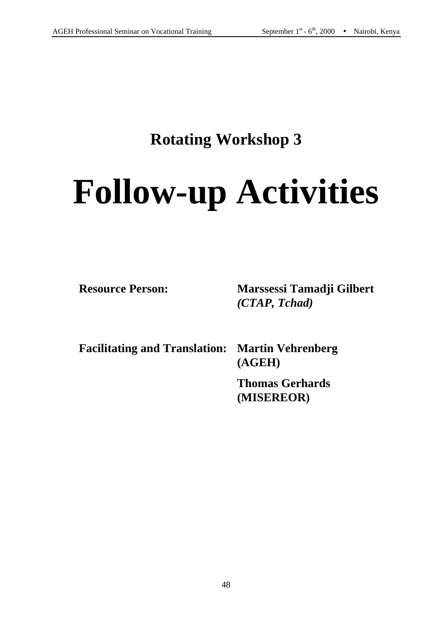# **Rotating Workshop 3**

# **Follow-up Activities**

**Resource Person: Marssessi Tamadji Gilbert**  *(CTAP, Tchad)*

**Facilitating and Translation: Martin Vehrenberg**

**(AGEH)**

**Thomas Gerhards (MISEREOR)**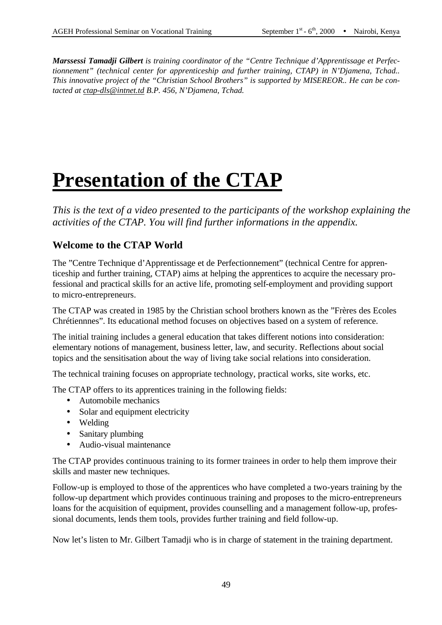*Marssessi Tamadji Gilbert is training coordinator of the "Centre Technique d'Apprentissage et Perfectionnement" (technical center for apprenticeship and further training, CTAP) in N'Djamena, Tchad.. This innovative project of the "Christian School Brothers" is supported by MISEREOR.. He can be contacted at ctap-dls@intnet.td B.P. 456, N'Djamena, Tchad.*

# **Presentation of the CTAP**

*This is the text of a video presented to the participants of the workshop explaining the activities of the CTAP. You will find further informations in the appendix.* 

## **Welcome to the CTAP World**

The "Centre Technique d'Apprentissage et de Perfectionnement" (technical Centre for apprenticeship and further training, CTAP) aims at helping the apprentices to acquire the necessary professional and practical skills for an active life, promoting self-employment and providing support to micro-entrepreneurs.

The CTAP was created in 1985 by the Christian school brothers known as the "Frères des Ecoles Chrétiennnes". Its educational method focuses on objectives based on a system of reference.

The initial training includes a general education that takes different notions into consideration: elementary notions of management, business letter, law, and security. Reflections about social topics and the sensitisation about the way of living take social relations into consideration.

The technical training focuses on appropriate technology, practical works, site works, etc.

The CTAP offers to its apprentices training in the following fields:

- Automobile mechanics
- Solar and equipment electricity
- Welding
- Sanitary plumbing
- Audio-visual maintenance

The CTAP provides continuous training to its former trainees in order to help them improve their skills and master new techniques.

Follow-up is employed to those of the apprentices who have completed a two-years training by the follow-up department which provides continuous training and proposes to the micro-entrepreneurs loans for the acquisition of equipment, provides counselling and a management follow-up, professional documents, lends them tools, provides further training and field follow-up.

Now let's listen to Mr. Gilbert Tamadji who is in charge of statement in the training department.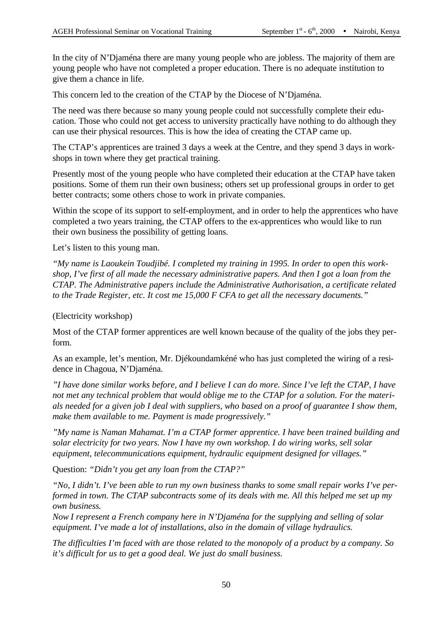In the city of N'Djaména there are many young people who are jobless. The majority of them are young people who have not completed a proper education. There is no adequate institution to give them a chance in life.

This concern led to the creation of the CTAP by the Diocese of N'Djaména.

The need was there because so many young people could not successfully complete their education. Those who could not get access to university practically have nothing to do although they can use their physical resources. This is how the idea of creating the CTAP came up.

The CTAP's apprentices are trained 3 days a week at the Centre, and they spend 3 days in workshops in town where they get practical training.

Presently most of the young people who have completed their education at the CTAP have taken positions. Some of them run their own business; others set up professional groups in order to get better contracts; some others chose to work in private companies.

Within the scope of its support to self-employment, and in order to help the apprentices who have completed a two years training, the CTAP offers to the ex-apprentices who would like to run their own business the possibility of getting loans.

Let's listen to this young man.

*"My name is Laoukein Toudjibé. I completed my training in 1995. In order to open this workshop, I've first of all made the necessary administrative papers. And then I got a loan from the CTAP. The Administrative papers include the Administrative Authorisation, a certificate related to the Trade Register, etc. It cost me 15,000 F CFA to get all the necessary documents."*

(Electricity workshop)

Most of the CTAP former apprentices are well known because of the quality of the jobs they perform.

As an example, let's mention, Mr. Djékoundamkéné who has just completed the wiring of a residence in Chagoua, N'Djaména.

*"I have done similar works before, and I believe I can do more. Since I've left the CTAP, I have not met any technical problem that would oblige me to the CTAP for a solution. For the materials needed for a given job I deal with suppliers, who based on a proof of guarantee I show them, make them available to me. Payment is made progressively."*

*"My name is Naman Mahamat. I'm a CTAP former apprentice. I have been trained building and solar electricity for two years. Now I have my own workshop. I do wiring works, sell solar equipment, telecommunications equipment, hydraulic equipment designed for villages."*

Question: *"Didn't you get any loan from the CTAP?"*

*"No, I didn't. I've been able to run my own business thanks to some small repair works I've performed in town. The CTAP subcontracts some of its deals with me. All this helped me set up my own business.* 

*Now I represent a French company here in N'Djaména for the supplying and selling of solar equipment. I've made a lot of installations, also in the domain of village hydraulics.*

*The difficulties I'm faced with are those related to the monopoly of a product by a company. So it's difficult for us to get a good deal. We just do small business.*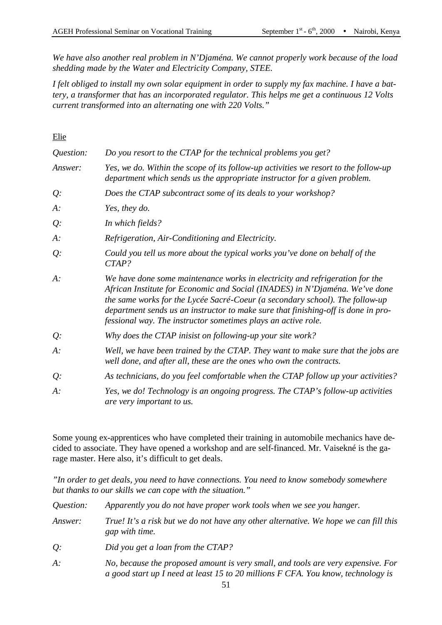*We have also another real problem in N'Djaména. We cannot properly work because of the load shedding made by the Water and Electricity Company, STEE.*

*I felt obliged to install my own solar equipment in order to supply my fax machine. I have a battery, a transformer that has an incorporated regulator. This helps me get a continuous 12 Volts current transformed into an alternating one with 220 Volts."*

Elie

| Question: | Do you resort to the CTAP for the technical problems you get?                                                                                                                                                                                                                                                                                                                                     |  |
|-----------|---------------------------------------------------------------------------------------------------------------------------------------------------------------------------------------------------------------------------------------------------------------------------------------------------------------------------------------------------------------------------------------------------|--|
| Answer:   | Yes, we do. Within the scope of its follow-up activities we resort to the follow-up<br>department which sends us the appropriate instructor for a given problem.                                                                                                                                                                                                                                  |  |
| Q:        | Does the CTAP subcontract some of its deals to your workshop?                                                                                                                                                                                                                                                                                                                                     |  |
| $A$ :     | Yes, they do.                                                                                                                                                                                                                                                                                                                                                                                     |  |
| Q:        | In which fields?                                                                                                                                                                                                                                                                                                                                                                                  |  |
| $A$ :     | Refrigeration, Air-Conditioning and Electricity.                                                                                                                                                                                                                                                                                                                                                  |  |
| Q:        | Could you tell us more about the typical works you've done on behalf of the<br>CTAP?                                                                                                                                                                                                                                                                                                              |  |
| $A$ :     | We have done some maintenance works in electricity and refrigeration for the<br>African Institute for Economic and Social (INADES) in N'Djaména. We've done<br>the same works for the Lycée Sacré-Coeur (a secondary school). The follow-up<br>department sends us an instructor to make sure that finishing-off is done in pro-<br>fessional way. The instructor sometimes plays an active role. |  |
| Q:        | Why does the CTAP inisist on following-up your site work?                                                                                                                                                                                                                                                                                                                                         |  |
| $A$ :     | Well, we have been trained by the CTAP. They want to make sure that the jobs are<br>well done, and after all, these are the ones who own the contracts.                                                                                                                                                                                                                                           |  |
| Q:        | As technicians, do you feel comfortable when the CTAP follow up your activities?                                                                                                                                                                                                                                                                                                                  |  |
| $A$ :     | Yes, we do! Technology is an ongoing progress. The CTAP's follow-up activities<br>are very important to us.                                                                                                                                                                                                                                                                                       |  |

Some young ex-apprentices who have completed their training in automobile mechanics have decided to associate. They have opened a workshop and are self-financed. Mr. Vaisekné is the garage master. Here also, it's difficult to get deals.

*"In order to get deals, you need to have connections. You need to know somebody somewhere but thanks to our skills we can cope with the situation."*

| <i><u>Ouestion:</u></i> | Apparently you do not have proper work tools when we see you hanger.                                                                                                 |
|-------------------------|----------------------------------------------------------------------------------------------------------------------------------------------------------------------|
| Answer:                 | True! It's a risk but we do not have any other alternative. We hope we can fill this<br>gap with time.                                                               |
| $Q$ :                   | Did you get a loan from the CTAP?                                                                                                                                    |
| $A$ :                   | No, because the proposed amount is very small, and tools are very expensive. For<br>a good start up I need at least 15 to 20 millions F CFA. You know, technology is |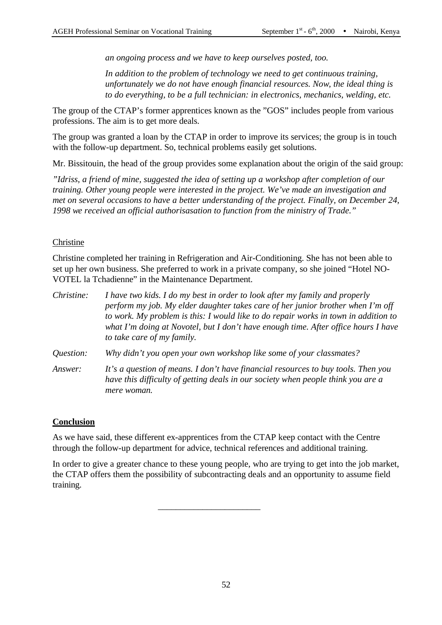*an ongoing process and we have to keep ourselves posted, too.*

*In addition to the problem of technology we need to get continuous training, unfortunately we do not have enough financial resources. Now, the ideal thing is to do everything, to be a full technician: in electronics, mechanics, welding, etc.*

The group of the CTAP's former apprentices known as the "GOS" includes people from various professions. The aim is to get more deals.

The group was granted a loan by the CTAP in order to improve its services; the group is in touch with the follow-up department. So, technical problems easily get solutions.

Mr. Bissitouin, the head of the group provides some explanation about the origin of the said group:

*"Idriss, a friend of mine, suggested the idea of setting up a workshop after completion of our training. Other young people were interested in the project. We've made an investigation and met on several occasions to have a better understanding of the project. Finally, on December 24, 1998 we received an official authorisasation to function from the ministry of Trade."*

#### Christine

Christine completed her training in Refrigeration and Air-Conditioning. She has not been able to set up her own business. She preferred to work in a private company, so she joined "Hotel NO-VOTEL la Tchadienne" in the Maintenance Department.

| Christine:       | I have two kids. I do my best in order to look after my family and properly<br>perform my job. My elder daughter takes care of her junior brother when I'm off<br>to work. My problem is this: I would like to do repair works in town in addition to<br>what I'm doing at Novotel, but I don't have enough time. After office hours I have<br>to take care of my family. |  |
|------------------|---------------------------------------------------------------------------------------------------------------------------------------------------------------------------------------------------------------------------------------------------------------------------------------------------------------------------------------------------------------------------|--|
| <i>Ouestion:</i> | Why didn't you open your own workshop like some of your classmates?                                                                                                                                                                                                                                                                                                       |  |
| Answer:          | It's a question of means. I don't have financial resources to buy tools. Then you<br>have this difficulty of getting deals in our society when people think you are a<br>mere woman.                                                                                                                                                                                      |  |

#### **Conclusion**

As we have said, these different ex-apprentices from the CTAP keep contact with the Centre through the follow-up department for advice, technical references and additional training.

\_\_\_\_\_\_\_\_\_\_\_\_\_\_\_\_\_\_\_\_\_\_\_

In order to give a greater chance to these young people, who are trying to get into the job market, the CTAP offers them the possibility of subcontracting deals and an opportunity to assume field training.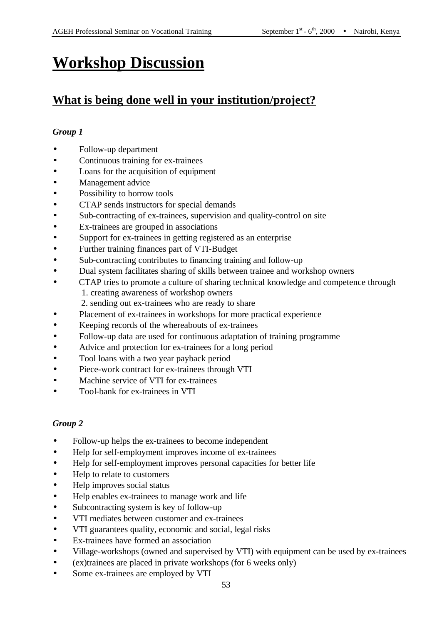## **Workshop Discussion**

## **What is being done well in your institution/project?**

#### *Group 1*

- Follow-up department
- Continuous training for ex-trainees
- Loans for the acquisition of equipment
- Management advice
- Possibility to borrow tools
- CTAP sends instructors for special demands
- Sub-contracting of ex-trainees, supervision and quality-control on site
- Ex-trainees are grouped in associations
- Support for ex-trainees in getting registered as an enterprise
- Further training finances part of VTI-Budget
- Sub-contracting contributes to financing training and follow-up
- Dual system facilitates sharing of skills between trainee and workshop owners
- CTAP tries to promote a culture of sharing technical knowledge and competence through 1. creating awareness of workshop owners 2. sending out ex-trainees who are ready to share
- Placement of ex-trainees in workshops for more practical experience
- Keeping records of the whereabouts of ex-trainees
- Follow-up data are used for continuous adaptation of training programme
- Advice and protection for ex-trainees for a long period
- Tool loans with a two year payback period
- Piece-work contract for ex-trainees through VTI
- Machine service of VTI for ex-trainees
- Tool-bank for ex-trainees in VTI

- Follow-up helps the ex-trainees to become independent
- Help for self-employment improves income of ex-trainees
- Help for self-employment improves personal capacities for better life
- Help to relate to customers
- Help improves social status
- Help enables ex-trainees to manage work and life
- Subcontracting system is key of follow-up
- VTI mediates between customer and ex-trainees
- VTI guarantees quality, economic and social, legal risks
- Ex-trainees have formed an association
- Village-workshops (owned and supervised by VTI) with equipment can be used by ex-trainees
- (ex)trainees are placed in private workshops (for 6 weeks only)
- Some ex-trainees are employed by VTI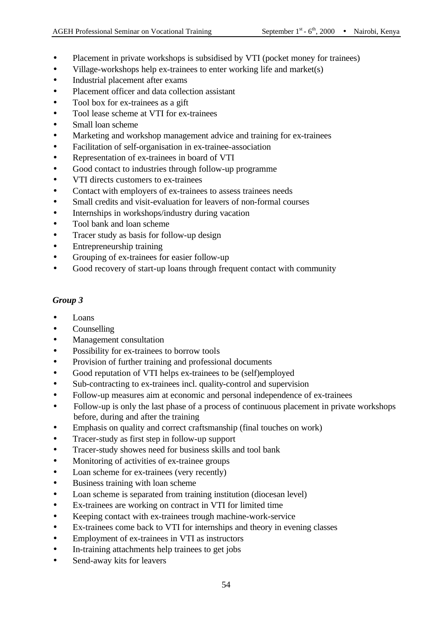- Placement in private workshops is subsidised by VTI (pocket money for trainees)
- Village-workshops help ex-trainees to enter working life and market(s)
- Industrial placement after exams
- Placement officer and data collection assistant
- Tool box for ex-trainees as a gift
- Tool lease scheme at VTI for ex-trainees
- Small loan scheme
- Marketing and workshop management advice and training for ex-trainees
- Facilitation of self-organisation in ex-trainee-association
- Representation of ex-trainees in board of VTI
- Good contact to industries through follow-up programme
- VTI directs customers to ex-trainees
- Contact with employers of ex-trainees to assess trainees needs
- Small credits and visit-evaluation for leavers of non-formal courses
- Internships in workshops/industry during vacation
- Tool bank and loan scheme
- Tracer study as basis for follow-up design
- Entrepreneurship training
- Grouping of ex-trainees for easier follow-up
- Good recovery of start-up loans through frequent contact with community

- Loans
- Counselling
- Management consultation
- Possibility for ex-trainees to borrow tools
- Provision of further training and professional documents
- Good reputation of VTI helps ex-trainees to be (self)employed
- Sub-contracting to ex-trainees incl. quality-control and supervision
- Follow-up measures aim at economic and personal independence of ex-trainees
- Follow-up is only the last phase of a process of continuous placement in private workshops before, during and after the training
- Emphasis on quality and correct craftsmanship (final touches on work)
- Tracer-study as first step in follow-up support
- Tracer-study showes need for business skills and tool bank
- Monitoring of activities of ex-trainee groups
- Loan scheme for ex-trainees (very recently)
- Business training with loan scheme
- Loan scheme is separated from training institution (diocesan level)
- Ex-trainees are working on contract in VTI for limited time
- Keeping contact with ex-trainees trough machine-work-service
- Ex-trainees come back to VTI for internships and theory in evening classes
- Employment of ex-trainees in VTI as instructors
- In-training attachments help trainees to get jobs
- Send-away kits for leavers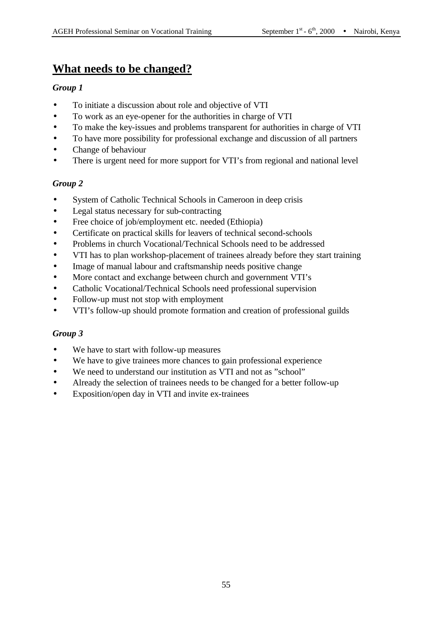## **What needs to be changed?**

#### *Group 1*

- To initiate a discussion about role and objective of VTI
- To work as an eye-opener for the authorities in charge of VTI
- To make the key-issues and problems transparent for authorities in charge of VTI
- To have more possibility for professional exchange and discussion of all partners
- Change of behaviour
- There is urgent need for more support for VTI's from regional and national level

#### *Group 2*

- System of Catholic Technical Schools in Cameroon in deep crisis
- Legal status necessary for sub-contracting
- Free choice of job/employment etc. needed (Ethiopia)
- Certificate on practical skills for leavers of technical second-schools
- Problems in church Vocational/Technical Schools need to be addressed
- VTI has to plan workshop-placement of trainees already before they start training
- Image of manual labour and craftsmanship needs positive change
- More contact and exchange between church and government VTI's
- Catholic Vocational/Technical Schools need professional supervision
- Follow-up must not stop with employment
- VTI's follow-up should promote formation and creation of professional guilds

- We have to start with follow-up measures
- We have to give trainees more chances to gain professional experience
- We need to understand our institution as VTI and not as "school"
- Already the selection of trainees needs to be changed for a better follow-up
- Exposition/open day in VTI and invite ex-trainees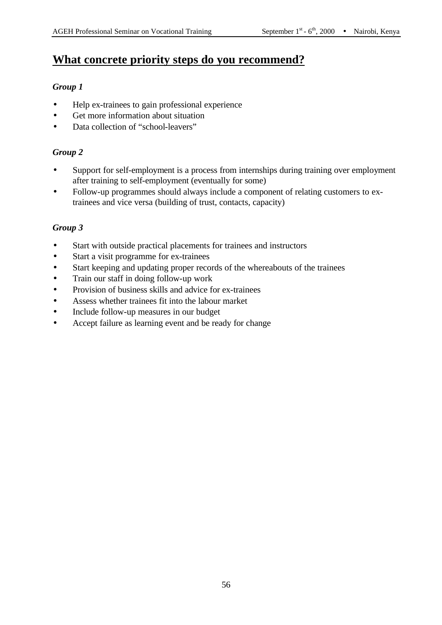## **What concrete priority steps do you recommend?**

#### *Group 1*

- Help ex-trainees to gain professional experience
- Get more information about situation
- Data collection of "school-leavers"

## *Group 2*

- Support for self-employment is a process from internships during training over employment after training to self-employment (eventually for some)
- Follow-up programmes should always include a component of relating customers to extrainees and vice versa (building of trust, contacts, capacity)

- Start with outside practical placements for trainees and instructors
- Start a visit programme for ex-trainees
- Start keeping and updating proper records of the whereabouts of the trainees
- Train our staff in doing follow-up work
- Provision of business skills and advice for ex-trainees
- Assess whether trainees fit into the labour market
- Include follow-up measures in our budget
- Accept failure as learning event and be ready for change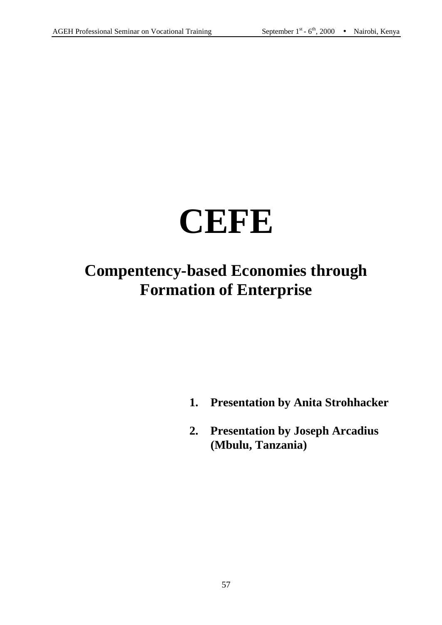# **CEFE**

# **Compentency-based Economies through Formation of Enterprise**

- **1. Presentation by Anita Strohhacker**
- **2. Presentation by Joseph Arcadius (Mbulu, Tanzania)**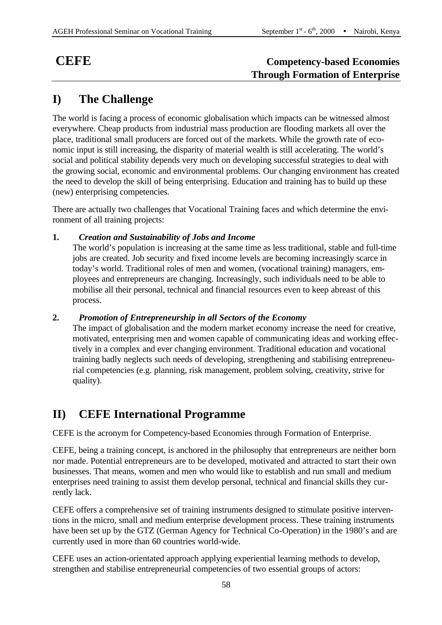## **CEFE Competency-based Economies Through Formation of Enterprise**

## **I) The Challenge**

The world is facing a process of economic globalisation which impacts can be witnessed almost everywhere. Cheap products from industrial mass production are flooding markets all over the place, traditional small producers are forced out of the markets. While the growth rate of economic input is still increasing, the disparity of material wealth is still accelerating. The world's social and political stability depends very much on developing successful strategies to deal with the growing social, economic and environmental problems. Our changing environment has created the need to develop the skill of being enterprising. Education and training has to build up these (new) enterprising competencies.

There are actually two challenges that Vocational Training faces and which determine the environment of all training projects:

#### **1.** *Creation and Sustainability of Jobs and Income*

The world's population is increasing at the same time as less traditional, stable and full-time jobs are created. Job security and fixed income levels are becoming increasingly scarce in today's world. Traditional roles of men and women, (vocational training) managers, employees and entrepreneurs are changing. Increasingly, such individuals need to be able to mobilise all their personal, technical and financial resources even to keep abreast of this process.

#### **2.** *Promotion of Entrepreneurship in all Sectors of the Economy*

The impact of globalisation and the modern market economy increase the need for creative, motivated, enterprising men and women capable of communicating ideas and working effectively in a complex and ever changing environment. Traditional education and vocational training badly neglects such needs of developing, strengthening and stabilising entrepreneurial competencies (e.g. planning, risk management, problem solving, creativity, strive for quality).

## **II) CEFE International Programme**

CEFE is the acronym for Competency-based Economies through Formation of Enterprise.

CEFE, being a training concept, is anchored in the philosophy that entrepreneurs are neither born nor made. Potential entrepreneurs are to be developed, motivated and attracted to start their own businesses. That means, women and men who would like to establish and run small and medium enterprises need training to assist them develop personal, technical and financial skills they currently lack.

CEFE offers a comprehensive set of training instruments designed to stimulate positive interventions in the micro, small and medium enterprise development process. These training instruments have been set up by the GTZ (German Agency for Technical Co-Operation) in the 1980's and are currently used in more than 60 countries world-wide.

CEFE uses an action-orientated approach applying experiential learning methods to develop, strengthen and stabilise entrepreneurial competencies of two essential groups of actors: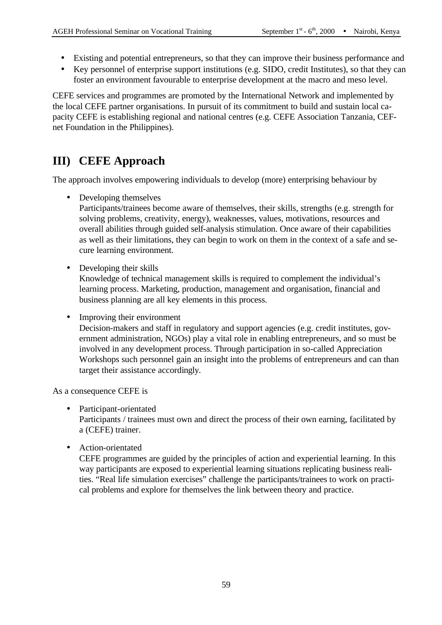- Existing and potential entrepreneurs, so that they can improve their business performance and
- Key personnel of enterprise support institutions (e.g. SIDO, credit Institutes), so that they can foster an environment favourable to enterprise development at the macro and meso level.

CEFE services and programmes are promoted by the International Network and implemented by the local CEFE partner organisations. In pursuit of its commitment to build and sustain local capacity CEFE is establishing regional and national centres (e.g. CEFE Association Tanzania, CEFnet Foundation in the Philippines).

## **III) CEFE Approach**

The approach involves empowering individuals to develop (more) enterprising behaviour by

• Developing themselves

Participants/trainees become aware of themselves, their skills, strengths (e.g. strength for solving problems, creativity, energy), weaknesses, values, motivations, resources and overall abilities through guided self-analysis stimulation. Once aware of their capabilities as well as their limitations, they can begin to work on them in the context of a safe and secure learning environment.

• Developing their skills

Knowledge of technical management skills is required to complement the individual's learning process. Marketing, production, management and organisation, financial and business planning are all key elements in this process.

• Improving their environment

Decision-makers and staff in regulatory and support agencies (e.g. credit institutes, government administration, NGOs) play a vital role in enabling entrepreneurs, and so must be involved in any development process. Through participation in so-called Appreciation Workshops such personnel gain an insight into the problems of entrepreneurs and can than target their assistance accordingly.

As a consequence CEFE is

- Participant-orientated Participants / trainees must own and direct the process of their own earning, facilitated by a (CEFE) trainer.
- Action-orientated

CEFE programmes are guided by the principles of action and experiential learning. In this way participants are exposed to experiential learning situations replicating business realities. "Real life simulation exercises" challenge the participants/trainees to work on practical problems and explore for themselves the link between theory and practice.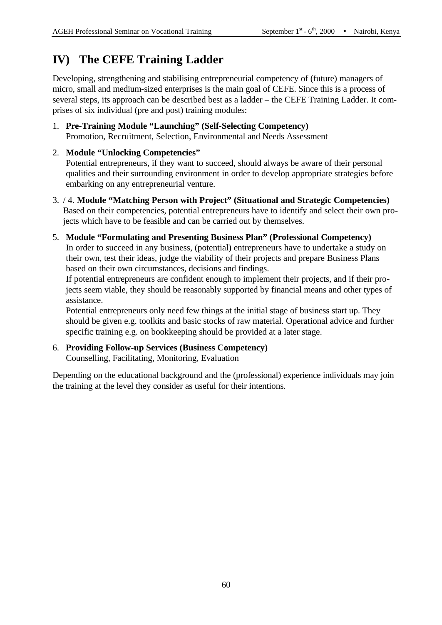## **IV) The CEFE Training Ladder**

Developing, strengthening and stabilising entrepreneurial competency of (future) managers of micro, small and medium-sized enterprises is the main goal of CEFE. Since this is a process of several steps, its approach can be described best as a ladder – the CEFE Training Ladder. It comprises of six individual (pre and post) training modules:

1. **Pre-Training Module "Launching" (Self-Selecting Competency)** Promotion, Recruitment, Selection, Environmental and Needs Assessment

#### 2. **Module "Unlocking Competencies"** Potential entrepreneurs, if they want to succeed, should always be aware of their personal qualities and their surrounding environment in order to develop appropriate strategies before embarking on any entrepreneurial venture.

- 3. / 4. **Module "Matching Person with Project" (Situational and Strategic Competencies)** Based on their competencies, potential entrepreneurs have to identify and select their own projects which have to be feasible and can be carried out by themselves.
- 5. **Module "Formulating and Presenting Business Plan" (Professional Competency)** In order to succeed in any business, (potential) entrepreneurs have to undertake a study on their own, test their ideas, judge the viability of their projects and prepare Business Plans based on their own circumstances, decisions and findings.

If potential entrepreneurs are confident enough to implement their projects, and if their projects seem viable, they should be reasonably supported by financial means and other types of assistance.

Potential entrepreneurs only need few things at the initial stage of business start up. They should be given e.g. toolkits and basic stocks of raw material. Operational advice and further specific training e.g. on bookkeeping should be provided at a later stage.

6. **Providing Follow-up Services (Business Competency)** Counselling, Facilitating, Monitoring, Evaluation

Depending on the educational background and the (professional) experience individuals may join the training at the level they consider as useful for their intentions.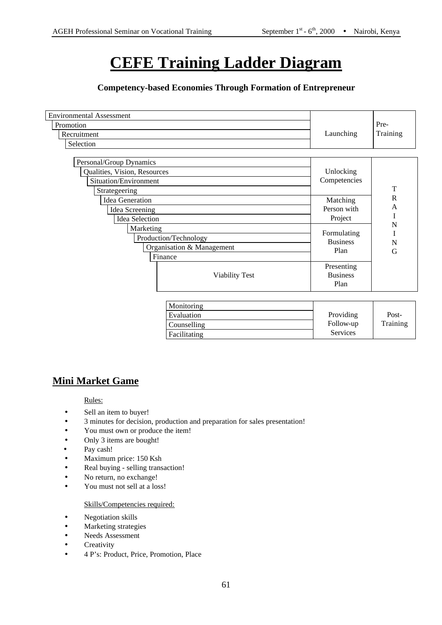## **CEFE Training Ladder Diagram**

#### **Competency-based Economies Through Formation of Entrepreneur**

| <b>Environmental Assessment</b><br>Promotion<br>Recruitment<br>Selection                          | Launching                              | Pre-<br>Training  |
|---------------------------------------------------------------------------------------------------|----------------------------------------|-------------------|
| Personal/Group Dynamics<br>Qualities, Vision, Resources<br>Situation/Environment<br>Strategeering | Unlocking<br>Competencies              | T                 |
| <b>Idea Generation</b><br>Idea Screening<br><b>Idea Selection</b>                                 | Matching<br>Person with<br>Project     | $\mathbb{R}$<br>A |
| Marketing<br>Production/Technology<br>Organisation & Management<br>Finance                        | Formulating<br><b>Business</b><br>Plan | N<br>N<br>G       |
| <b>Viability Test</b>                                                                             | Presenting<br><b>Business</b><br>Plan  |                   |
| Monitoring<br>Evaluation                                                                          | Providing                              | Post-             |

| <b>MONITORING</b> |           |          |
|-------------------|-----------|----------|
| Evaluation        | Providing | Post-    |
| Counselling       | Follow-up | Training |
| Facilitating      | Services  |          |
|                   |           |          |

## **Mini Market Game**

Rules:

- Sell an item to buyer!
- 3 minutes for decision, production and preparation for sales presentation!
- You must own or produce the item!
- Only 3 items are bought!
- Pay cash!
- Maximum price: 150 Ksh
- Real buying selling transaction!
- No return, no exchange!
- You must not sell at a loss!

#### Skills/Competencies required:

- Negotiation skills
- Marketing strategies
- Needs Assessment
- Creativity
- 4 P's: Product, Price, Promotion, Place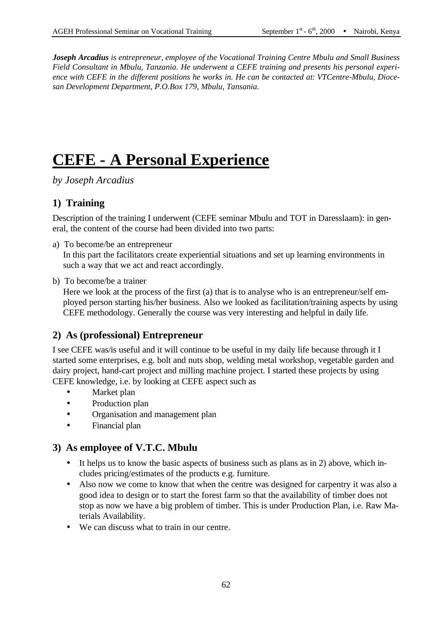*Joseph Arcadius is entrepreneur, employee of the Vocational Training Centre Mbulu and Small Business Field Consultant in Mbulu, Tanzania. He underwent a CEFE training and presents his personal experience with CEFE in the different positions he works in. He can be contacted at: VTCentre-Mbulu, Diocesan Development Department, P.O.Box 179, Mbulu, Tansania.*

# **CEFE - A Personal Experience**

*by Joseph Arcadius*

## **1) Training**

Description of the training I underwent (CEFE seminar Mbulu and TOT in Daresslaam): in general, the content of the course had been divided into two parts:

a) To become/be an entrepreneur

In this part the facilitators create experiential situations and set up learning environments in such a way that we act and react accordingly.

b) To become/be a trainer

Here we look at the process of the first (a) that is to analyse who is an entrepreneur/self employed person starting his/her business. Also we looked as facilitation/training aspects by using CEFE methodology. Generally the course was very interesting and helpful in daily life.

## **2) As (professional) Entrepreneur**

I see CEFE was/is useful and it will continue to be useful in my daily life because through it I started some enterprises, e.g. bolt and nuts shop, welding metal workshop, vegetable garden and dairy project, hand-cart project and milling machine project. I started these projects by using CEFE knowledge, i.e. by looking at CEFE aspect such as

- Market plan
- Production plan
- Organisation and management plan
- Financial plan

## **3) As employee of V.T.C. Mbulu**

- It helps us to know the basic aspects of business such as plans as in 2) above, which includes pricing/estimates of the products e.g. furniture.
- Also now we come to know that when the centre was designed for carpentry it was also a good idea to design or to start the forest farm so that the availability of timber does not stop as now we have a big problem of timber. This is under Production Plan, i.e. Raw Materials Availability.
- We can discuss what to train in our centre.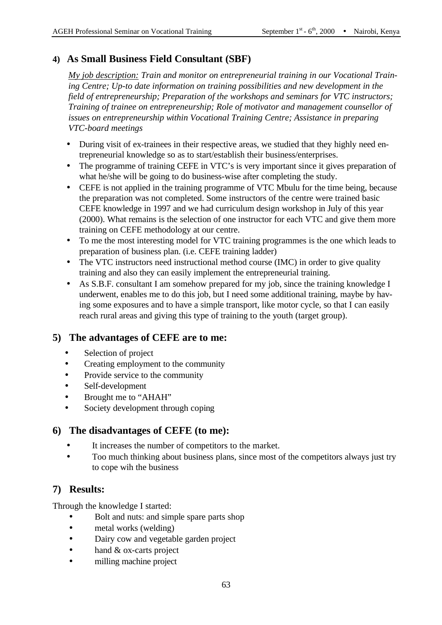## **4) As Small Business Field Consultant (SBF)**

*My job description: Train and monitor on entrepreneurial training in our Vocational Training Centre; Up-to date information on training possibilities and new development in the field of entrepreneurship; Preparation of the workshops and seminars for VTC instructors; Training of trainee on entrepreneurship; Role of motivator and management counsellor of issues on entrepreneurship within Vocational Training Centre; Assistance in preparing VTC-board meetings* 

- During visit of ex-trainees in their respective areas, we studied that they highly need entrepreneurial knowledge so as to start/establish their business/enterprises.
- The programme of training CEFE in VTC's is very important since it gives preparation of what he/she will be going to do business-wise after completing the study.
- CEFE is not applied in the training programme of VTC Mbulu for the time being, because the preparation was not completed. Some instructors of the centre were trained basic CEFE knowledge in 1997 and we had curriculum design workshop in July of this year (2000). What remains is the selection of one instructor for each VTC and give them more training on CEFE methodology at our centre.
- To me the most interesting model for VTC training programmes is the one which leads to preparation of business plan. (i.e. CEFE training ladder)
- The VTC instructors need instructional method course (IMC) in order to give quality training and also they can easily implement the entrepreneurial training.
- As S.B.F. consultant I am somehow prepared for my job, since the training knowledge I underwent, enables me to do this job, but I need some additional training, maybe by having some exposures and to have a simple transport, like motor cycle, so that I can easily reach rural areas and giving this type of training to the youth (target group).

## **5) The advantages of CEFE are to me:**

- Selection of project
- Creating employment to the community
- Provide service to the community
- Self-development
- Brought me to "AHAH"
- Society development through coping

## **6) The disadvantages of CEFE (to me):**

- It increases the number of competitors to the market.
- Too much thinking about business plans, since most of the competitors always just try to cope wih the business

## **7) Results:**

Through the knowledge I started:

- Bolt and nuts: and simple spare parts shop
- metal works (welding)
- Dairy cow and vegetable garden project
- hand & ox-carts project
- milling machine project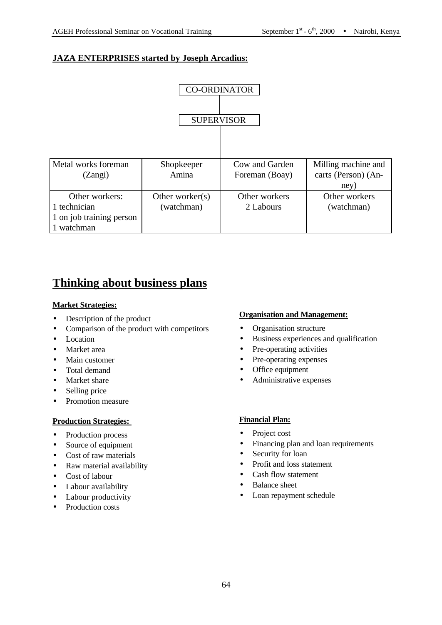## **JAZA ENTERPRISES started by Joseph Arcadius:**



## **Thinking about business plans**

#### **Market Strategies:**

- Description of the product
- Comparison of the product with competitors
- Location
- Market area
- Main customer
- Total demand
- Market share
- Selling price
- Promotion measure

#### **Production Strategies:**

- Production process
- Source of equipment
- Cost of raw materials
- Raw material availability
- Cost of labour
- Labour availability
- Labour productivity
- Production costs

#### **Organisation and Management:**

- Organisation structure
- Business experiences and qualification
- Pre-operating activities
- Pre-operating expenses
- Office equipment
- Administrative expenses

#### **Financial Plan:**

- Project cost
- Financing plan and loan requirements
- Security for loan
- Profit and loss statement
- Cash flow statement
- Balance sheet
- Loan repayment schedule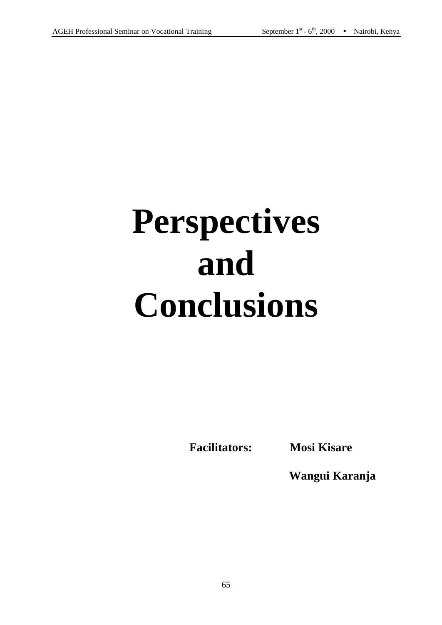# **Perspectives and Conclusions**

**Facilitators: Mosi Kisare**

**Wangui Karanja**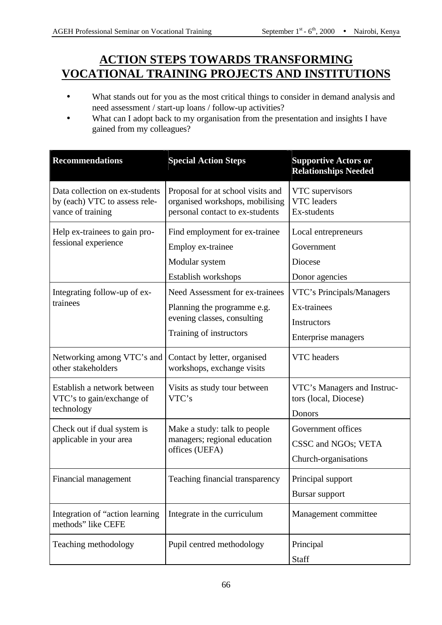## **ACTION STEPS TOWARDS TRANSFORMING VOCATIONAL TRAINING PROJECTS AND INSTITUTIONS**

- What stands out for you as the most critical things to consider in demand analysis and need assessment / start-up loans / follow-up activities?
- What can I adopt back to my organisation from the presentation and insights I have gained from my colleagues?

| <b>Recommendations</b>                                                               | <b>Special Action Steps</b>                                                                                              | <b>Supportive Actors or</b><br><b>Relationships Needed</b>                     |
|--------------------------------------------------------------------------------------|--------------------------------------------------------------------------------------------------------------------------|--------------------------------------------------------------------------------|
| Data collection on ex-students<br>by (each) VTC to assess rele-<br>vance of training | Proposal for at school visits and<br>organised workshops, mobilising<br>personal contact to ex-students                  | VTC supervisors<br><b>VTC</b> leaders<br>Ex-students                           |
| Help ex-trainees to gain pro-<br>fessional experience                                | Find employment for ex-trainee<br>Employ ex-trainee<br>Modular system<br>Establish workshops                             | Local entrepreneurs<br>Government<br>Diocese<br>Donor agencies                 |
| Integrating follow-up of ex-<br>trainees                                             | Need Assessment for ex-trainees<br>Planning the programme e.g.<br>evening classes, consulting<br>Training of instructors | VTC's Principals/Managers<br>Ex-trainees<br>Instructors<br>Enterprise managers |
| Networking among VTC's and<br>other stakeholders                                     | Contact by letter, organised<br>workshops, exchange visits                                                               | VTC headers                                                                    |
| Establish a network between<br>VTC's to gain/exchange of<br>technology               | Visits as study tour between<br>VTC's                                                                                    | VTC's Managers and Instruc-<br>tors (local, Diocese)<br>Donors                 |
| Check out if dual system is<br>applicable in your area                               | Make a study: talk to people<br>managers; regional education<br>offices (UEFA)                                           | Government offices<br>CSSC and NGOs; VETA<br>Church-organisations              |
| Financial management                                                                 | Teaching financial transparency                                                                                          | Principal support<br><b>Bursar support</b>                                     |
| Integration of "action learning"<br>methods" like CEFE                               | Integrate in the curriculum                                                                                              | Management committee                                                           |
| Teaching methodology                                                                 | Pupil centred methodology                                                                                                | Principal<br>Staff                                                             |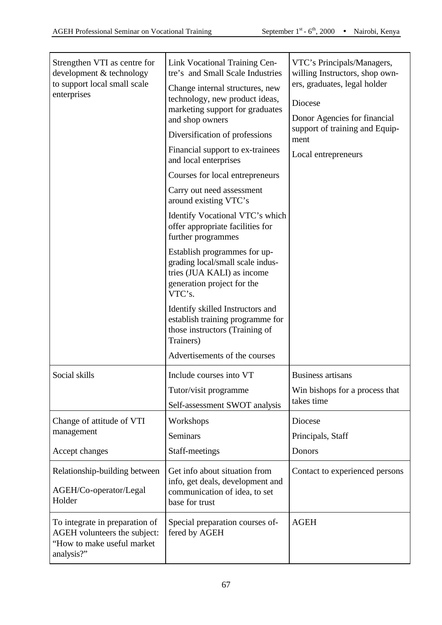| Strengthen VTI as centre for<br>development & technology<br>to support local small scale<br>enterprises    | Link Vocational Training Cen-<br>tre's and Small Scale Industries<br>Change internal structures, new<br>technology, new product ideas,<br>marketing support for graduates<br>and shop owners<br>Diversification of professions<br>Financial support to ex-trainees<br>and local enterprises<br>Courses for local entrepreneurs<br>Carry out need assessment<br>around existing VTC's<br>Identify Vocational VTC's which<br>offer appropriate facilities for<br>further programmes<br>Establish programmes for up-<br>grading local/small scale indus-<br>tries (JUA KALI) as income<br>generation project for the<br>VTC's.<br>Identify skilled Instructors and<br>establish training programme for<br>those instructors (Training of<br>Trainers)<br>Advertisements of the courses | VTC's Principals/Managers,<br>willing Instructors, shop own-<br>ers, graduates, legal holder<br>Diocese<br>Donor Agencies for financial<br>support of training and Equip-<br>ment<br>Local entrepreneurs |
|------------------------------------------------------------------------------------------------------------|-------------------------------------------------------------------------------------------------------------------------------------------------------------------------------------------------------------------------------------------------------------------------------------------------------------------------------------------------------------------------------------------------------------------------------------------------------------------------------------------------------------------------------------------------------------------------------------------------------------------------------------------------------------------------------------------------------------------------------------------------------------------------------------|----------------------------------------------------------------------------------------------------------------------------------------------------------------------------------------------------------|
| Social skills                                                                                              | Include courses into VT<br>Tutor/visit programme<br>Self-assessment SWOT analysis                                                                                                                                                                                                                                                                                                                                                                                                                                                                                                                                                                                                                                                                                                   | <b>Business artisans</b><br>Win bishops for a process that<br>takes time                                                                                                                                 |
| Change of attitude of VTI<br>management<br>Accept changes                                                  | Workshops<br><b>Seminars</b><br>Staff-meetings                                                                                                                                                                                                                                                                                                                                                                                                                                                                                                                                                                                                                                                                                                                                      | Diocese<br>Principals, Staff<br>Donors                                                                                                                                                                   |
| Relationship-building between<br>AGEH/Co-operator/Legal<br>Holder                                          | Get info about situation from<br>info, get deals, development and<br>communication of idea, to set<br>base for trust                                                                                                                                                                                                                                                                                                                                                                                                                                                                                                                                                                                                                                                                | Contact to experienced persons                                                                                                                                                                           |
| To integrate in preparation of<br>AGEH volunteers the subject:<br>"How to make useful market<br>analysis?" | Special preparation courses of-<br>fered by AGEH                                                                                                                                                                                                                                                                                                                                                                                                                                                                                                                                                                                                                                                                                                                                    | <b>AGEH</b>                                                                                                                                                                                              |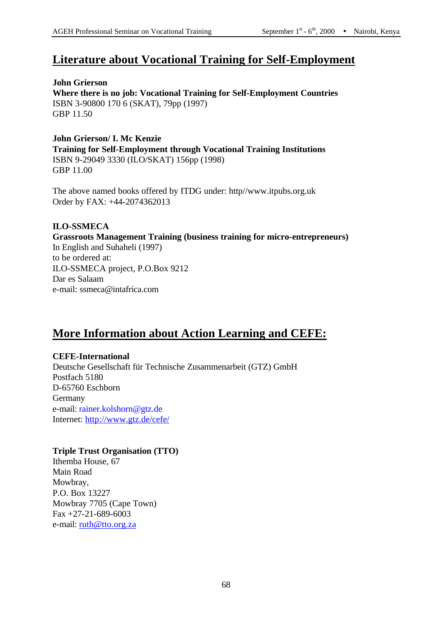## **Literature about Vocational Training for Self-Employment**

**John Grierson Where there is no job: Vocational Training for Self-Employment Countries** ISBN 3-90800 170 6 (SKAT), 79pp (1997) GBP 11.50

**John Grierson/ I. Mc Kenzie Training for Self-Employment through Vocational Training Institutions** ISBN 9-29049 3330 (ILO/SKAT) 156pp (1998) GBP 11.00

The above named books offered by ITDG under: http//www.itpubs.org.uk Order by FAX: +44-2074362013

#### **ILO-SSMECA**

**Grassroots Management Training (business training for micro-entrepreneurs)** In English and Suhaheli (1997)

to be ordered at: ILO-SSMECA project, P.O.Box 9212 Dar es Salaam e-mail: ssmeca@intafrica.com

## **More Information about Action Learning and CEFE:**

#### **CEFE-International**

Deutsche Gesellschaft für Technische Zusammenarbeit (GTZ) GmbH Postfach 5180 D-65760 Eschborn Germany e-mail: rainer.kolshorn@gtz.de Internet: http://www.gtz.de/cefe/

#### **Triple Trust Organisation (TTO)**

Ithemba House, 67 Main Road Mowbray, P.O. Box 13227 Mowbray 7705 (Cape Town) Fax +27-21-689-6003 e-mail: <u>ruth@tto.org.za</u>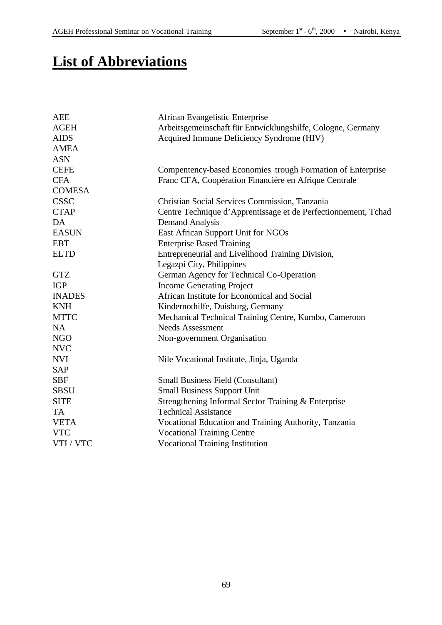## **List of Abbreviations**

| AEE           | African Evangelistic Enterprise                                |
|---------------|----------------------------------------------------------------|
| <b>AGEH</b>   | Arbeitsgemeinschaft für Entwicklungshilfe, Cologne, Germany    |
| <b>AIDS</b>   | Acquired Immune Deficiency Syndrome (HIV)                      |
| <b>AMEA</b>   |                                                                |
| <b>ASN</b>    |                                                                |
| <b>CEFE</b>   | Compentency-based Economies trough Formation of Enterprise     |
| <b>CFA</b>    | Franc CFA, Coopération Financière en Afrique Centrale          |
| <b>COMESA</b> |                                                                |
| <b>CSSC</b>   | Christian Social Services Commission, Tanzania                 |
| <b>CTAP</b>   | Centre Technique d'Apprentissage et de Perfectionnement, Tchad |
| DA            | <b>Demand Analysis</b>                                         |
| <b>EASUN</b>  | East African Support Unit for NGOs                             |
| <b>EBT</b>    | <b>Enterprise Based Training</b>                               |
| <b>ELTD</b>   | Entrepreneurial and Livelihood Training Division,              |
|               | Legazpi City, Philippines                                      |
| <b>GTZ</b>    | German Agency for Technical Co-Operation                       |
| <b>IGP</b>    | <b>Income Generating Project</b>                               |
| <b>INADES</b> | African Institute for Economical and Social                    |
| <b>KNH</b>    | Kindernothilfe, Duisburg, Germany                              |
| <b>MTTC</b>   | Mechanical Technical Training Centre, Kumbo, Cameroon          |
| <b>NA</b>     | <b>Needs Assessment</b>                                        |
| <b>NGO</b>    | Non-government Organisation                                    |
| <b>NVC</b>    |                                                                |
| <b>NVI</b>    | Nile Vocational Institute, Jinja, Uganda                       |
| <b>SAP</b>    |                                                                |
| <b>SBF</b>    | <b>Small Business Field (Consultant)</b>                       |
| <b>SBSU</b>   | <b>Small Business Support Unit</b>                             |
| <b>SITE</b>   | Strengthening Informal Sector Training & Enterprise            |
| <b>TA</b>     | <b>Technical Assistance</b>                                    |
| <b>VETA</b>   | Vocational Education and Training Authority, Tanzania          |
| <b>VTC</b>    | <b>Vocational Training Centre</b>                              |
| VTI / VTC     | <b>Vocational Training Institution</b>                         |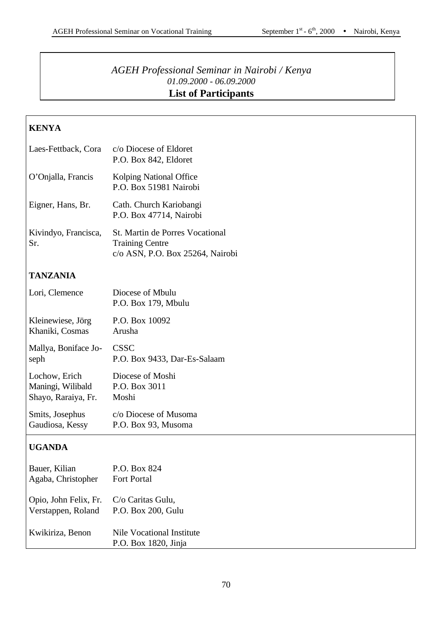## *AGEH Professional Seminar in Nairobi / Kenya 01.09.2000 - 06.09.2000* **List of Participants**

## **KENYA**

| Laes-Fettback, Cora         | c/o Diocese of Eldoret<br>P.O. Box 842, Eldoret                                                      |
|-----------------------------|------------------------------------------------------------------------------------------------------|
| O'Onjalla, Francis          | Kolping National Office<br>P.O. Box 51981 Nairobi                                                    |
| Eigner, Hans, Br.           | Cath. Church Kariobangi<br>P.O. Box 47714, Nairobi                                                   |
| Kivindyo, Francisca,<br>Sr. | <b>St. Martin de Porres Vocational</b><br><b>Training Centre</b><br>c/o ASN, P.O. Box 25264, Nairobi |

## **TANZANIA**

| Lori, Clemence       | Diocese of Mbulu<br>P.O. Box 179, Mbulu |
|----------------------|-----------------------------------------|
| Kleinewiese, Jörg    | P.O. Box 10092                          |
| Khaniki, Cosmas      | Arusha                                  |
| Mallya, Boniface Jo- | <b>CSSC</b>                             |
| seph                 | P.O. Box 9433, Dar-Es-Salaam            |
| Lochow, Erich        | Diocese of Moshi                        |
| Maningi, Wilibald    | P.O. Box 3011                           |
| Shayo, Raraiya, Fr.  | Moshi                                   |
| Smits, Josephus      | c/o Diocese of Musoma                   |
| Gaudiosa, Kessy      | P.O. Box 93, Musoma                     |

## **UGANDA**

| Bauer, Kilian<br>Agaba, Christopher                                              | P.O. Box 824<br><b>Fort Portal</b>                |
|----------------------------------------------------------------------------------|---------------------------------------------------|
| Opio, John Felix, Fr. C/o Caritas Gulu,<br>Verstappen, Roland P.O. Box 200, Gulu |                                                   |
| Kwikiriza, Benon                                                                 | Nile Vocational Institute<br>P.O. Box 1820, Jinja |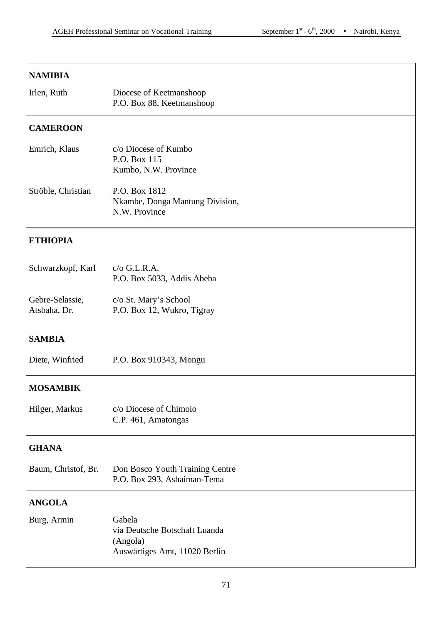## **NAMIBIA**

| Irlen, Ruth | Diocese of Keetmanshoop   |
|-------------|---------------------------|
|             | P.O. Box 88, Keetmanshoop |

## **CAMEROON**

| Emrich, Klaus      | c/o Diocese of Kumbo            |  |
|--------------------|---------------------------------|--|
|                    | P.O. Box 115                    |  |
|                    | Kumbo, N.W. Province            |  |
| Ströble, Christian | P.O. Box 1812                   |  |
|                    | Nkambe, Donga Mantung Division, |  |
|                    | N.W. Province                   |  |

#### **ETHIOPIA**

| Schwarzkopf, Karl | $c$ /o G.L.R.A.<br>P.O. Box 5033, Addis Abeba |
|-------------------|-----------------------------------------------|
| Gebre-Selassie,   | c/o St. Mary's School                         |
| Atsbaha, Dr.      | P.O. Box 12, Wukro, Tigray                    |

## **SAMBIA**

## **MOSAMBIK**

| Hilger, Markus | c/o Diocese of Chimoio |
|----------------|------------------------|
|                | C.P. 461, Amatongas    |

## **GHANA**

| Baum, Christof, Br. | Don Bosco Youth Training Centre |
|---------------------|---------------------------------|
|                     | P.O. Box 293, Ashaiman-Tema     |

## **ANGOLA**

| Burg, Armin | Gabela                        |
|-------------|-------------------------------|
|             | via Deutsche Botschaft Luanda |
|             | (Angola)                      |
|             | Auswärtiges Amt, 11020 Berlin |
|             |                               |